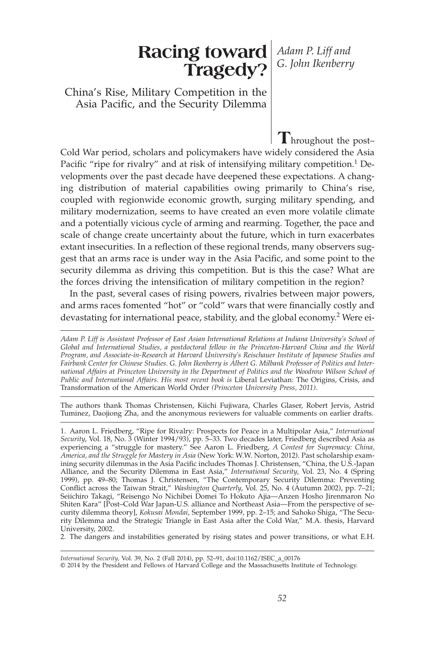# **Racing toward** *Adam P. Liff and* **Tragedy?**

*G. John Ikenberry*

China's Rise, Military Competition in the Asia Pacific, and the Security Dilemma

**T**hroughout the post– Cold War period, scholars and policymakers have widely considered the Asia Pacific "ripe for rivalry" and at risk of intensifying military competition.<sup>1</sup> Developments over the past decade have deepened these expectations. A changing distribution of material capabilities owing primarily to China's rise, coupled with regionwide economic growth, surging military spending, and military modernization, seems to have created an even more volatile climate and a potentially vicious cycle of arming and rearming. Together, the pace and scale of change create uncertainty about the future, which in turn exacerbates extant insecurities. In a reflection of these regional trends, many observers suggest that an arms race is under way in the Asia Pacific, and some point to the security dilemma as driving this competition. But is this the case? What are the forces driving the intensification of military competition in the region?

In the past, several cases of rising powers, rivalries between major powers, and arms races fomented "hot" or "cold" wars that were financially costly and devastating for international peace, stability, and the global economy.<sup>2</sup> Were ei-

*Adam P. Liff is Assistant Professor of East Asian International Relations at Indiana University's School of Global and International Studies, a postdoctoral fellow in the Princeton-Harvard China and the World Program, and Associate-in-Research at Harvard University's Reischauer Institute of Japanese Studies and Fairbank Center for Chinese Studies. G. John Ikenberry is Albert G. Milbank Professor of Politics and International Affairs at Princeton University in the Department of Politics and the Woodrow Wilson School of Public and International Affairs. His most recent book is* Liberal Leviathan: The Origins, Crisis, and Transformation of the American World Order *(Princeton University Press, 2011).*

The authors thank Thomas Christensen, Kiichi Fujiwara, Charles Glaser, Robert Jervis, Astrid Tuminez, Daojiong Zha, and the anonymous reviewers for valuable comments on earlier drafts.

1. Aaron L. Friedberg, "Ripe for Rivalry: Prospects for Peace in a Multipolar Asia," *International Security*, Vol. 18, No. 3 (Winter 1994/93), pp. 5–33. Two decades later, Friedberg described Asia as experiencing a "struggle for mastery." See Aaron L. Friedberg, *A Contest for Supremacy: China, America, and the Struggle for Mastery in Asia* (New York: W.W. Norton, 2012). Past scholarship examining security dilemmas in the Asia Pacific includes Thomas J. Christensen, "China, the U.S.-Japan Alliance, and the Security Dilemma in East Asia," *International Security*, Vol. 23, No. 4 (Spring 1999), pp. 49–80; Thomas J. Christensen, "The Contemporary Security Dilemma: Preventing Conflict across the Taiwan Strait," *Washington Quarterly*, Vol. 25, No. 4 (Autumn 2002), pp. 7–21; Seiichiro Takagi, "Reisengo No Nichibei Domei To Hokuto Ajia—Anzen Hosho Jirenmaron No Shiten Kara" [Post–Cold War Japan-U.S. alliance and Northeast Asia—From the perspective of security dilemma theory], *Kokusai Mondai*, September 1999, pp. 2–15; and Sahoko Shiga, "The Security Dilemma and the Strategic Triangle in East Asia after the Cold War," M.A. thesis, Harvard University, 2002.

2. The dangers and instabilities generated by rising states and power transitions, or what E.H.

*International Security,* Vol. 39, No. 2 (Fall 2014), pp. 52–91, doi:10.1162/ISEC\_a\_00176 © 2014 by the President and Fellows of Harvard College and the Massachusetts Institute of Technology.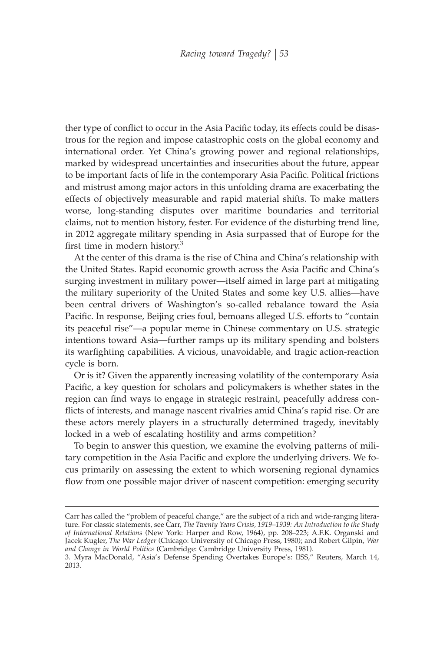ther type of conflict to occur in the Asia Pacific today, its effects could be disastrous for the region and impose catastrophic costs on the global economy and international order. Yet China's growing power and regional relationships, marked by widespread uncertainties and insecurities about the future, appear to be important facts of life in the contemporary Asia Pacific. Political frictions and mistrust among major actors in this unfolding drama are exacerbating the effects of objectively measurable and rapid material shifts. To make matters worse, long-standing disputes over maritime boundaries and territorial claims, not to mention history, fester. For evidence of the disturbing trend line, in 2012 aggregate military spending in Asia surpassed that of Europe for the first time in modern history. $3$ 

At the center of this drama is the rise of China and China's relationship with the United States. Rapid economic growth across the Asia Pacific and China's surging investment in military power—itself aimed in large part at mitigating the military superiority of the United States and some key U.S. allies—have been central drivers of Washington's so-called rebalance toward the Asia Pacific. In response, Beijing cries foul, bemoans alleged U.S. efforts to "contain its peaceful rise"—a popular meme in Chinese commentary on U.S. strategic intentions toward Asia—further ramps up its military spending and bolsters its warfighting capabilities. A vicious, unavoidable, and tragic action-reaction cycle is born.

Or is it? Given the apparently increasing volatility of the contemporary Asia Pacific, a key question for scholars and policymakers is whether states in the region can find ways to engage in strategic restraint, peacefully address conflicts of interests, and manage nascent rivalries amid China's rapid rise. Or are these actors merely players in a structurally determined tragedy, inevitably locked in a web of escalating hostility and arms competition?

To begin to answer this question, we examine the evolving patterns of military competition in the Asia Pacific and explore the underlying drivers. We focus primarily on assessing the extent to which worsening regional dynamics flow from one possible major driver of nascent competition: emerging security

Carr has called the "problem of peaceful change," are the subject of a rich and wide-ranging literature. For classic statements, see Carr, *The Twenty Years Crisis, 1919–1939: An Introduction to the Study of International Relations* (New York: Harper and Row, 1964), pp. 208–223; A.F.K. Organski and Jacek Kugler, *The War Ledger* (Chicago: University of Chicago Press, 1980); and Robert Gilpin, *War and Change in World Politics* (Cambridge: Cambridge University Press, 1981).

<sup>3.</sup> Myra MacDonald, "Asia's Defense Spending Overtakes Europe's: IISS," Reuters, March 14, 2013.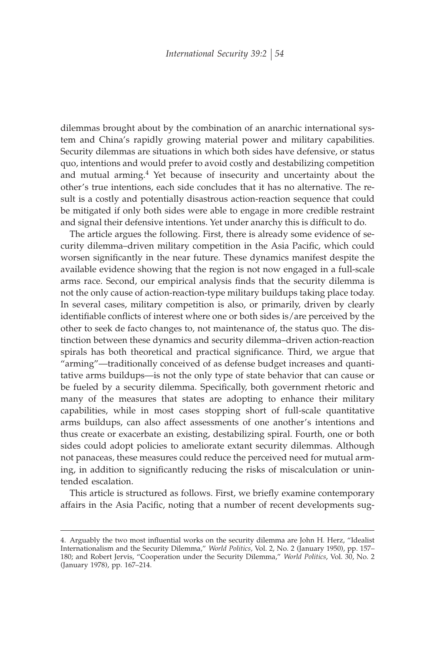dilemmas brought about by the combination of an anarchic international system and China's rapidly growing material power and military capabilities. Security dilemmas are situations in which both sides have defensive, or status quo, intentions and would prefer to avoid costly and destabilizing competition and mutual arming.<sup>4</sup> Yet because of insecurity and uncertainty about the other's true intentions, each side concludes that it has no alternative. The result is a costly and potentially disastrous action-reaction sequence that could be mitigated if only both sides were able to engage in more credible restraint and signal their defensive intentions. Yet under anarchy this is difficult to do.

The article argues the following. First, there is already some evidence of security dilemma-driven military competition in the Asia Pacific, which could worsen significantly in the near future. These dynamics manifest despite the available evidence showing that the region is not now engaged in a full-scale arms race. Second, our empirical analysis finds that the security dilemma is not the only cause of action-reaction-type military buildups taking place today. In several cases, military competition is also, or primarily, driven by clearly identifiable conflicts of interest where one or both sides is/are perceived by the other to seek de facto changes to, not maintenance of, the status quo. The distinction between these dynamics and security dilemma–driven action-reaction spirals has both theoretical and practical significance. Third, we argue that "arming"—traditionally conceived of as defense budget increases and quantitative arms buildups—is not the only type of state behavior that can cause or be fueled by a security dilemma. Specifically, both government rhetoric and many of the measures that states are adopting to enhance their military capabilities, while in most cases stopping short of full-scale quantitative arms buildups, can also affect assessments of one another's intentions and thus create or exacerbate an existing, destabilizing spiral. Fourth, one or both sides could adopt policies to ameliorate extant security dilemmas. Although not panaceas, these measures could reduce the perceived need for mutual arming, in addition to significantly reducing the risks of miscalculation or unintended escalation.

This article is structured as follows. First, we briefly examine contemporary affairs in the Asia Pacific, noting that a number of recent developments sug-

<sup>4.</sup> Arguably the two most influential works on the security dilemma are John H. Herz, "Idealist Internationalism and the Security Dilemma," *World Politics*, Vol. 2, No. 2 (January 1950), pp. 157– 180; and Robert Jervis, "Cooperation under the Security Dilemma," *World Politics*, Vol. 30, No. 2 (January 1978), pp. 167–214.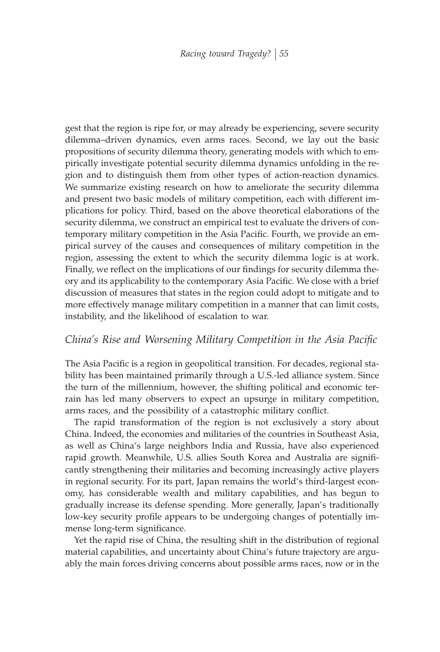gest that the region is ripe for, or may already be experiencing, severe security dilemma–driven dynamics, even arms races. Second, we lay out the basic propositions of security dilemma theory, generating models with which to empirically investigate potential security dilemma dynamics unfolding in the region and to distinguish them from other types of action-reaction dynamics. We summarize existing research on how to ameliorate the security dilemma and present two basic models of military competition, each with different implications for policy. Third, based on the above theoretical elaborations of the security dilemma, we construct an empirical test to evaluate the drivers of contemporary military competition in the Asia Pacific. Fourth, we provide an empirical survey of the causes and consequences of military competition in the region, assessing the extent to which the security dilemma logic is at work. Finally, we reflect on the implications of our findings for security dilemma theory and its applicability to the contemporary Asia Pacific. We close with a brief discussion of measures that states in the region could adopt to mitigate and to more effectively manage military competition in a manner that can limit costs, instability, and the likelihood of escalation to war.

# *China's Rise and Worsening Military Competition in the Asia Pacific*

The Asia Pacific is a region in geopolitical transition. For decades, regional stability has been maintained primarily through a U.S.-led alliance system. Since the turn of the millennium, however, the shifting political and economic terrain has led many observers to expect an upsurge in military competition, arms races, and the possibility of a catastrophic military conflict.

The rapid transformation of the region is not exclusively a story about China. Indeed, the economies and militaries of the countries in Southeast Asia, as well as China's large neighbors India and Russia, have also experienced rapid growth. Meanwhile, U.S. allies South Korea and Australia are significantly strengthening their militaries and becoming increasingly active players in regional security. For its part, Japan remains the world's third-largest economy, has considerable wealth and military capabilities, and has begun to gradually increase its defense spending. More generally, Japan's traditionally low-key security profile appears to be undergoing changes of potentially immense long-term significance.

Yet the rapid rise of China, the resulting shift in the distribution of regional material capabilities, and uncertainty about China's future trajectory are arguably the main forces driving concerns about possible arms races, now or in the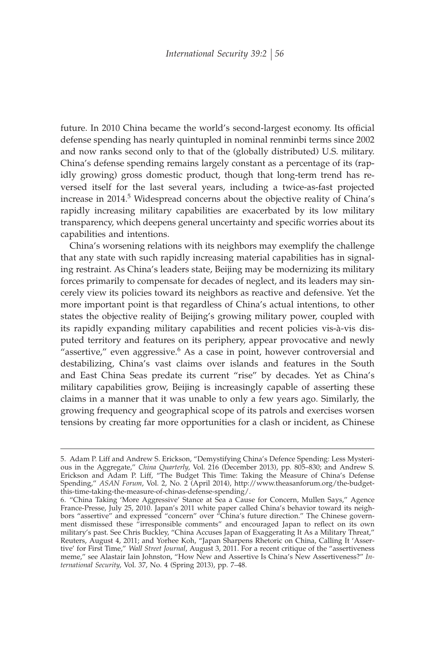future. In 2010 China became the world's second-largest economy. Its official defense spending has nearly quintupled in nominal renminbi terms since 2002 and now ranks second only to that of the (globally distributed) U.S. military. China's defense spending remains largely constant as a percentage of its (rapidly growing) gross domestic product, though that long-term trend has reversed itself for the last several years, including a twice-as-fast projected increase in 2014.<sup>5</sup> Widespread concerns about the objective reality of China's rapidly increasing military capabilities are exacerbated by its low military transparency, which deepens general uncertainty and specific worries about its capabilities and intentions.

China's worsening relations with its neighbors may exemplify the challenge that any state with such rapidly increasing material capabilities has in signaling restraint. As China's leaders state, Beijing may be modernizing its military forces primarily to compensate for decades of neglect, and its leaders may sincerely view its policies toward its neighbors as reactive and defensive. Yet the more important point is that regardless of China's actual intentions, to other states the objective reality of Beijing's growing military power, coupled with its rapidly expanding military capabilities and recent policies vis-à-vis disputed territory and features on its periphery, appear provocative and newly "assertive," even aggressive. $6$  As a case in point, however controversial and destabilizing, China's vast claims over islands and features in the South and East China Seas predate its current "rise" by decades. Yet as China's military capabilities grow, Beijing is increasingly capable of asserting these claims in a manner that it was unable to only a few years ago. Similarly, the growing frequency and geographical scope of its patrols and exercises worsen tensions by creating far more opportunities for a clash or incident, as Chinese

<sup>5.</sup> Adam P. Liff and Andrew S. Erickson, "Demystifying China's Defence Spending: Less Mysterious in the Aggregate," *China Quarterly*, Vol. 216 (December 2013), pp. 805–830; and Andrew S. Erickson and Adam P. Liff, "The Budget This Time: Taking the Measure of China's Defense Spending," *ASAN Forum*, Vol. 2, No. 2 (April 2014), http://www.theasanforum.org/the-budgetthis-time-taking-the-measure-of-chinas-defense-spending/.

<sup>6. &</sup>quot;China Taking 'More Aggressive' Stance at Sea a Cause for Concern, Mullen Says," Agence France-Presse, July 25, 2010. Japan's 2011 white paper called China's behavior toward its neighbors "assertive" and expressed "concern" over "China's future direction." The Chinese government dismissed these "irresponsible comments" and encouraged Japan to reflect on its own military's past. See Chris Buckley, "China Accuses Japan of Exaggerating It As a Military Threat," Reuters, August 4, 2011; and Yorhee Koh, "Japan Sharpens Rhetoric on China, Calling It 'Assertive' for First Time," *Wall Street Journal*, August 3, 2011. For a recent critique of the "assertiveness meme," see Alastair Iain Johnston, "How New and Assertive Is China's New Assertiveness?" *International Security*, Vol. 37, No. 4 (Spring 2013), pp. 7–48.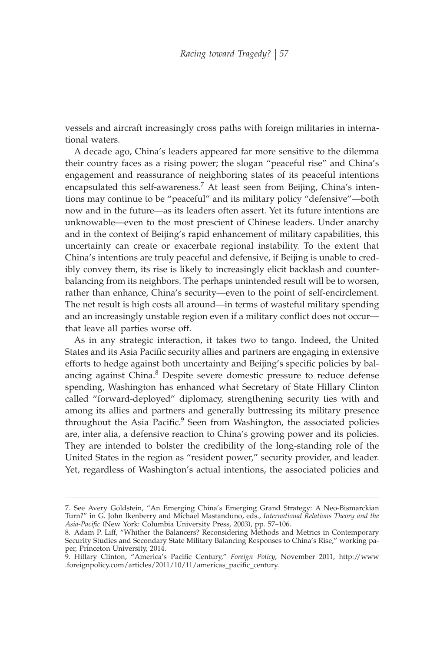vessels and aircraft increasingly cross paths with foreign militaries in international waters.

A decade ago, China's leaders appeared far more sensitive to the dilemma their country faces as a rising power; the slogan "peaceful rise" and China's engagement and reassurance of neighboring states of its peaceful intentions encapsulated this self-awareness.<sup>7</sup> At least seen from Beijing, China's intentions may continue to be "peaceful" and its military policy "defensive"—both now and in the future—as its leaders often assert. Yet its future intentions are unknowable—even to the most prescient of Chinese leaders. Under anarchy and in the context of Beijing's rapid enhancement of military capabilities, this uncertainty can create or exacerbate regional instability. To the extent that China's intentions are truly peaceful and defensive, if Beijing is unable to credibly convey them, its rise is likely to increasingly elicit backlash and counterbalancing from its neighbors. The perhaps unintended result will be to worsen, rather than enhance, China's security—even to the point of self-encirclement. The net result is high costs all around—in terms of wasteful military spending and an increasingly unstable region even if a military conflict does not occur that leave all parties worse off.

As in any strategic interaction, it takes two to tango. Indeed, the United States and its Asia Pacific security allies and partners are engaging in extensive efforts to hedge against both uncertainty and Beijing's specific policies by balancing against China.<sup>8</sup> Despite severe domestic pressure to reduce defense spending, Washington has enhanced what Secretary of State Hillary Clinton called "forward-deployed" diplomacy, strengthening security ties with and among its allies and partners and generally buttressing its military presence throughout the Asia Pacific.<sup>9</sup> Seen from Washington, the associated policies are, inter alia, a defensive reaction to China's growing power and its policies. They are intended to bolster the credibility of the long-standing role of the United States in the region as "resident power," security provider, and leader. Yet, regardless of Washington's actual intentions, the associated policies and

<sup>7.</sup> See Avery Goldstein, "An Emerging China's Emerging Grand Strategy: A Neo-Bismarckian Turn?" in G. John Ikenberry and Michael Mastanduno, eds., *International Relations Theory and the* Asia-Pacific (New York: Columbia University Press, 2003), pp. 57-106.

<sup>8.</sup> Adam P. Liff, "Whither the Balancers? Reconsidering Methods and Metrics in Contemporary Security Studies and Secondary State Military Balancing Responses to China's Rise," working paper, Princeton University, 2014.

<sup>9.</sup> Hillary Clinton, "America's Pacific Century," *Foreign Policy*, November 2011, http://www .foreignpolicy.com/articles/2011/10/11/americas\_pacific\_century.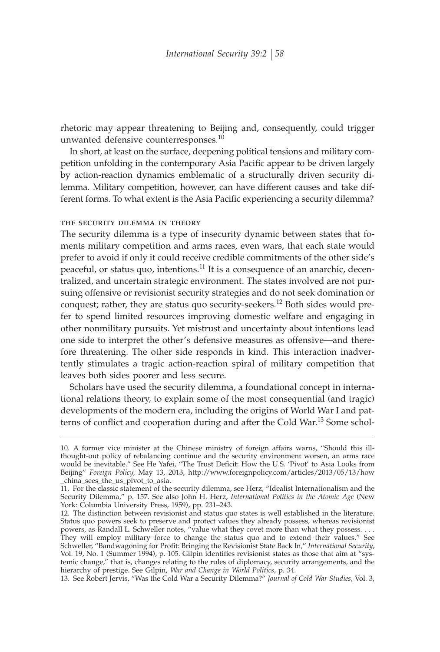rhetoric may appear threatening to Beijing and, consequently, could trigger unwanted defensive counterresponses.<sup>10</sup>

In short, at least on the surface, deepening political tensions and military competition unfolding in the contemporary Asia Pacific appear to be driven largely by action-reaction dynamics emblematic of a structurally driven security dilemma. Military competition, however, can have different causes and take different forms. To what extent is the Asia Pacific experiencing a security dilemma?

#### the security dilemma in theory

The security dilemma is a type of insecurity dynamic between states that foments military competition and arms races, even wars, that each state would prefer to avoid if only it could receive credible commitments of the other side's peaceful, or status quo, intentions.<sup>11</sup> It is a consequence of an anarchic, decentralized, and uncertain strategic environment. The states involved are not pursuing offensive or revisionist security strategies and do not seek domination or conquest; rather, they are status quo security-seekers.<sup>12</sup> Both sides would prefer to spend limited resources improving domestic welfare and engaging in other nonmilitary pursuits. Yet mistrust and uncertainty about intentions lead one side to interpret the other's defensive measures as offensive—and therefore threatening. The other side responds in kind. This interaction inadvertently stimulates a tragic action-reaction spiral of military competition that leaves both sides poorer and less secure.

Scholars have used the security dilemma, a foundational concept in international relations theory, to explain some of the most consequential (and tragic) developments of the modern era, including the origins of World War I and patterns of conflict and cooperation during and after the Cold War.<sup>13</sup> Some schol-

13. See Robert Jervis, "Was the Cold War a Security Dilemma?" *Journal of Cold War Studies*, Vol. 3,

<sup>10.</sup> A former vice minister at the Chinese ministry of foreign affairs warns, "Should this illthought-out policy of rebalancing continue and the security environment worsen, an arms race would be inevitable." See He Yafei, "The Trust Deficit: How the U.S. 'Pivot' to Asia Looks from Beijing" *Foreign Policy*, May 13, 2013, http://www.foreignpolicy.com/articles/2013/05/13/how china sees the us pivot to asia.

<sup>11.</sup> For the classic statement of the security dilemma, see Herz, "Idealist Internationalism and the Security Dilemma," p. 157. See also John H. Herz, *International Politics in the Atomic Age* (New York: Columbia University Press, 1959), pp. 231–243.

<sup>12.</sup> The distinction between revisionist and status quo states is well established in the literature. Status quo powers seek to preserve and protect values they already possess, whereas revisionist powers, as Randall L. Schweller notes, "value what they covet more than what they possess. . . . They will employ military force to change the status quo and to extend their values." See Schweller, "Bandwagoning for Profit: Bringing the Revisionist State Back In," International Security, Vol. 19, No. 1 (Summer 1994), p. 105. Gilpin identifies revisionist states as those that aim at "systemic change," that is, changes relating to the rules of diplomacy, security arrangements, and the hierarchy of prestige. See Gilpin, *War and Change in World Politics*, p. 34.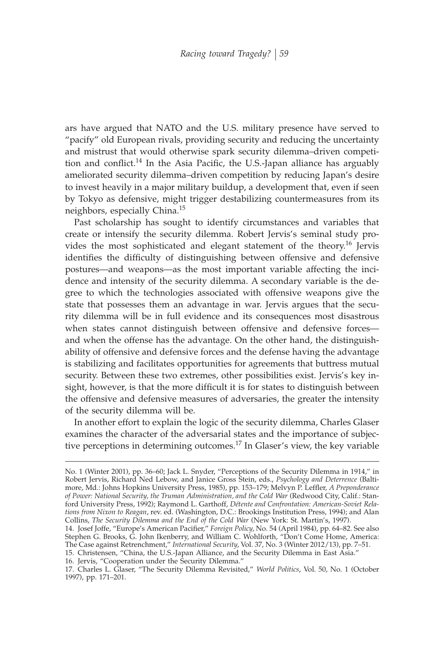ars have argued that NATO and the U.S. military presence have served to "pacify" old European rivals, providing security and reducing the uncertainty and mistrust that would otherwise spark security dilemma–driven competition and conflict.<sup>14</sup> In the Asia Pacific, the U.S.-Japan alliance has arguably ameliorated security dilemma–driven competition by reducing Japan's desire to invest heavily in a major military buildup, a development that, even if seen by Tokyo as defensive, might trigger destabilizing countermeasures from its neighbors, especially China.<sup>15</sup>

Past scholarship has sought to identify circumstances and variables that create or intensify the security dilemma. Robert Jervis's seminal study provides the most sophisticated and elegant statement of the theory.<sup>16</sup> Jervis identifies the difficulty of distinguishing between offensive and defensive postures—and weapons—as the most important variable affecting the incidence and intensity of the security dilemma. A secondary variable is the degree to which the technologies associated with offensive weapons give the state that possesses them an advantage in war. Jervis argues that the security dilemma will be in full evidence and its consequences most disastrous when states cannot distinguish between offensive and defensive forces and when the offense has the advantage. On the other hand, the distinguishability of offensive and defensive forces and the defense having the advantage is stabilizing and facilitates opportunities for agreements that buttress mutual security. Between these two extremes, other possibilities exist. Jervis's key insight, however, is that the more difficult it is for states to distinguish between the offensive and defensive measures of adversaries, the greater the intensity of the security dilemma will be.

In another effort to explain the logic of the security dilemma, Charles Glaser examines the character of the adversarial states and the importance of subjective perceptions in determining outcomes.<sup>17</sup> In Glaser's view, the key variable

No. 1 (Winter 2001), pp. 36–60; Jack L. Snyder, "Perceptions of the Security Dilemma in 1914," in Robert Jervis, Richard Ned Lebow, and Janice Gross Stein, eds., *Psychology and Deterrence* (Baltimore, Md.: Johns Hopkins University Press, 1985), pp. 153-179; Melvyn P. Leffler, *A Preponderance of Power: National Security, the Truman Administration, and the Cold War* (Redwood City, Calif.: Stanford University Press, 1992); Raymond L. Garthoff, *Détente and Confrontation: American-Soviet Relations from Nixon to Reagan*, rev. ed. (Washington, D.C.: Brookings Institution Press, 1994); and Alan Collins, *The Security Dilemma and the End of the Cold War* (New York: St. Martin's, 1997).

<sup>14.</sup> Josef Joffe, "Europe's American Pacifier," *Foreign Policy,* No. 54 (April 1984), pp. 64–82. See also Stephen G. Brooks, G. John Ikenberry, and William C. Wohlforth, "Don't Come Home, America: The Case against Retrenchment," *International Security*, Vol. 37, No. 3 (Winter 2012/13), pp. 7–51. 15. Christensen, "China, the U.S.-Japan Alliance, and the Security Dilemma in East Asia."

<sup>16.</sup> Jervis, "Cooperation under the Security Dilemma."

<sup>17.</sup> Charles L. Glaser, "The Security Dilemma Revisited," *World Politics*, Vol. 50, No. 1 (October 1997), pp. 171–201.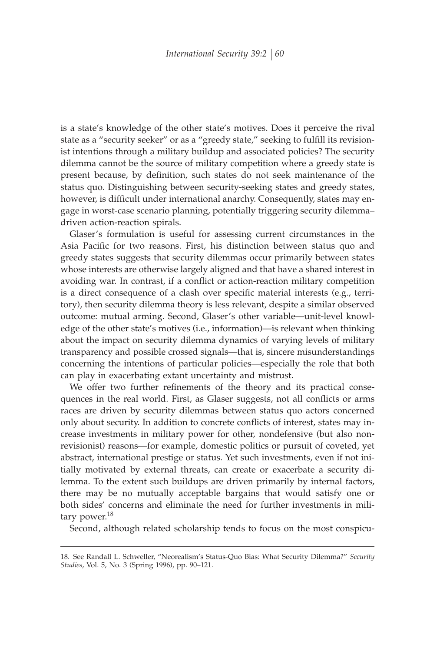is a state's knowledge of the other state's motives. Does it perceive the rival state as a "security seeker" or as a "greedy state," seeking to fulfill its revisionist intentions through a military buildup and associated policies? The security dilemma cannot be the source of military competition where a greedy state is present because, by definition, such states do not seek maintenance of the status quo. Distinguishing between security-seeking states and greedy states, however, is difficult under international anarchy. Consequently, states may engage in worst-case scenario planning, potentially triggering security dilemma– driven action-reaction spirals.

Glaser's formulation is useful for assessing current circumstances in the Asia Pacific for two reasons. First, his distinction between status quo and greedy states suggests that security dilemmas occur primarily between states whose interests are otherwise largely aligned and that have a shared interest in avoiding war. In contrast, if a conflict or action-reaction military competition is a direct consequence of a clash over specific material interests (e.g., territory), then security dilemma theory is less relevant, despite a similar observed outcome: mutual arming. Second, Glaser's other variable—unit-level knowledge of the other state's motives (i.e., information)—is relevant when thinking about the impact on security dilemma dynamics of varying levels of military transparency and possible crossed signals—that is, sincere misunderstandings concerning the intentions of particular policies—especially the role that both can play in exacerbating extant uncertainty and mistrust.

We offer two further refinements of the theory and its practical consequences in the real world. First, as Glaser suggests, not all conflicts or arms races are driven by security dilemmas between status quo actors concerned only about security. In addition to concrete conflicts of interest, states may increase investments in military power for other, nondefensive (but also nonrevisionist) reasons—for example, domestic politics or pursuit of coveted, yet abstract, international prestige or status. Yet such investments, even if not initially motivated by external threats, can create or exacerbate a security dilemma. To the extent such buildups are driven primarily by internal factors, there may be no mutually acceptable bargains that would satisfy one or both sides' concerns and eliminate the need for further investments in military power.<sup>18</sup>

Second, although related scholarship tends to focus on the most conspicu-

<sup>18.</sup> See Randall L. Schweller, "Neorealism's Status-Quo Bias: What Security Dilemma?" *Security Studies*, Vol. 5, No. 3 (Spring 1996), pp. 90–121.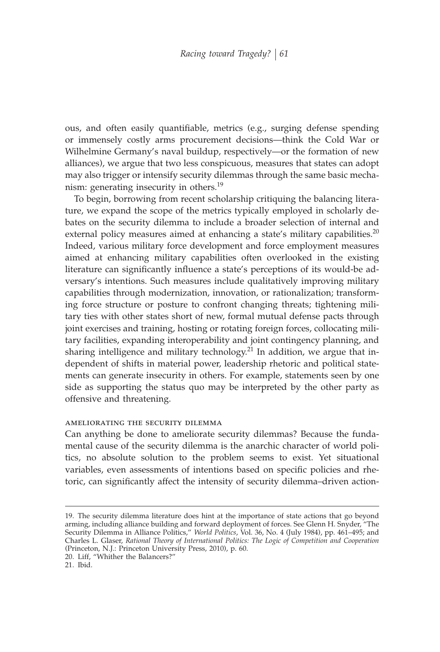ous, and often easily quantifiable, metrics (e.g., surging defense spending or immensely costly arms procurement decisions—think the Cold War or Wilhelmine Germany's naval buildup, respectively—or the formation of new alliances), we argue that two less conspicuous, measures that states can adopt may also trigger or intensify security dilemmas through the same basic mechanism: generating insecurity in others.<sup>19</sup>

To begin, borrowing from recent scholarship critiquing the balancing literature, we expand the scope of the metrics typically employed in scholarly debates on the security dilemma to include a broader selection of internal and external policy measures aimed at enhancing a state's military capabilities.<sup>20</sup> Indeed, various military force development and force employment measures aimed at enhancing military capabilities often overlooked in the existing literature can significantly influence a state's perceptions of its would-be adversary's intentions. Such measures include qualitatively improving military capabilities through modernization, innovation, or rationalization; transforming force structure or posture to confront changing threats; tightening military ties with other states short of new, formal mutual defense pacts through joint exercises and training, hosting or rotating foreign forces, collocating military facilities, expanding interoperability and joint contingency planning, and sharing intelligence and military technology.<sup>21</sup> In addition, we argue that independent of shifts in material power, leadership rhetoric and political statements can generate insecurity in others. For example, statements seen by one side as supporting the status quo may be interpreted by the other party as offensive and threatening.

## ameliorating the security dilemma

Can anything be done to ameliorate security dilemmas? Because the fundamental cause of the security dilemma is the anarchic character of world politics, no absolute solution to the problem seems to exist. Yet situational variables, even assessments of intentions based on specific policies and rhetoric, can significantly affect the intensity of security dilemma–driven action-

<sup>19.</sup> The security dilemma literature does hint at the importance of state actions that go beyond arming, including alliance building and forward deployment of forces. See Glenn H. Snyder, "The Security Dilemma in Alliance Politics," *World Politics*, Vol. 36, No. 4 (July 1984), pp. 461–495; and Charles L. Glaser, *Rational Theory of International Politics: The Logic of Competition and Cooperation* (Princeton, N.J.: Princeton University Press, 2010), p. 60.

<sup>20.</sup> Liff, "Whither the Balancers?"

<sup>21.</sup> Ibid.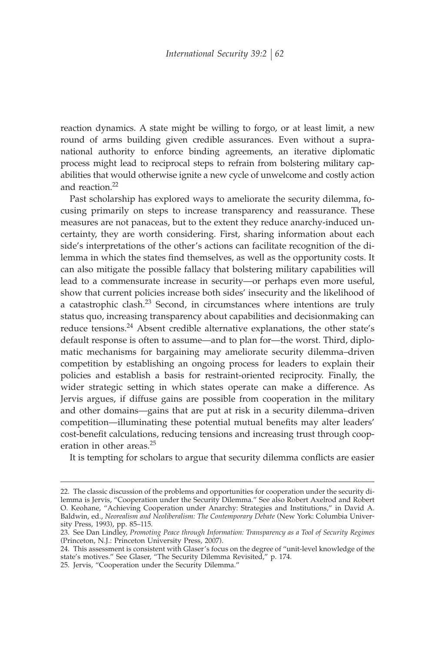reaction dynamics. A state might be willing to forgo, or at least limit, a new round of arms building given credible assurances. Even without a supranational authority to enforce binding agreements, an iterative diplomatic process might lead to reciprocal steps to refrain from bolstering military capabilities that would otherwise ignite a new cycle of unwelcome and costly action and reaction.<sup>22</sup>

Past scholarship has explored ways to ameliorate the security dilemma, focusing primarily on steps to increase transparency and reassurance. These measures are not panaceas, but to the extent they reduce anarchy-induced uncertainty, they are worth considering. First, sharing information about each side's interpretations of the other's actions can facilitate recognition of the dilemma in which the states find themselves, as well as the opportunity costs. It can also mitigate the possible fallacy that bolstering military capabilities will lead to a commensurate increase in security—or perhaps even more useful, show that current policies increase both sides' insecurity and the likelihood of a catastrophic clash. $23$  Second, in circumstances where intentions are truly status quo, increasing transparency about capabilities and decisionmaking can reduce tensions.<sup>24</sup> Absent credible alternative explanations, the other state's default response is often to assume—and to plan for—the worst. Third, diplomatic mechanisms for bargaining may ameliorate security dilemma–driven competition by establishing an ongoing process for leaders to explain their policies and establish a basis for restraint-oriented reciprocity. Finally, the wider strategic setting in which states operate can make a difference. As Jervis argues, if diffuse gains are possible from cooperation in the military and other domains—gains that are put at risk in a security dilemma–driven competition—illuminating these potential mutual benefits may alter leaders' cost-benefit calculations, reducing tensions and increasing trust through cooperation in other areas.<sup>25</sup>

It is tempting for scholars to argue that security dilemma conflicts are easier

<sup>22.</sup> The classic discussion of the problems and opportunities for cooperation under the security dilemma is Jervis, "Cooperation under the Security Dilemma." See also Robert Axelrod and Robert O. Keohane, "Achieving Cooperation under Anarchy: Strategies and Institutions," in David A. Baldwin, ed., *Neorealism and Neoliberalism: The Contemporary Debate* (New York: Columbia University Press, 1993), pp. 85–115.

<sup>23.</sup> See Dan Lindley, *Promoting Peace through Information: Transparency as a Tool of Security Regimes* (Princeton, N.J.: Princeton University Press, 2007).

<sup>24.</sup> This assessment is consistent with Glaser's focus on the degree of "unit-level knowledge of the state's motives." See Glaser, "The Security Dilemma Revisited," p. 174.

<sup>25.</sup> Jervis, "Cooperation under the Security Dilemma."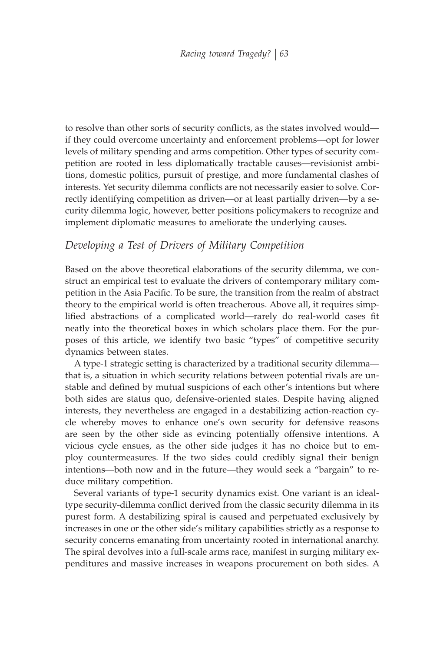to resolve than other sorts of security conflicts, as the states involved would if they could overcome uncertainty and enforcement problems—opt for lower levels of military spending and arms competition. Other types of security competition are rooted in less diplomatically tractable causes—revisionist ambitions, domestic politics, pursuit of prestige, and more fundamental clashes of interests. Yet security dilemma conflicts are not necessarily easier to solve. Correctly identifying competition as driven—or at least partially driven—by a security dilemma logic, however, better positions policymakers to recognize and implement diplomatic measures to ameliorate the underlying causes.

# *Developing a Test of Drivers of Military Competition*

Based on the above theoretical elaborations of the security dilemma, we construct an empirical test to evaluate the drivers of contemporary military competition in the Asia Pacific. To be sure, the transition from the realm of abstract theory to the empirical world is often treacherous. Above all, it requires simplified abstractions of a complicated world—rarely do real-world cases fit neatly into the theoretical boxes in which scholars place them. For the purposes of this article, we identify two basic "types" of competitive security dynamics between states.

A type-1 strategic setting is characterized by a traditional security dilemma that is, a situation in which security relations between potential rivals are unstable and defined by mutual suspicions of each other's intentions but where both sides are status quo, defensive-oriented states. Despite having aligned interests, they nevertheless are engaged in a destabilizing action-reaction cycle whereby moves to enhance one's own security for defensive reasons are seen by the other side as evincing potentially offensive intentions. A vicious cycle ensues, as the other side judges it has no choice but to employ countermeasures. If the two sides could credibly signal their benign intentions—both now and in the future—they would seek a "bargain" to reduce military competition.

Several variants of type-1 security dynamics exist. One variant is an idealtype security-dilemma conflict derived from the classic security dilemma in its purest form. A destabilizing spiral is caused and perpetuated exclusively by increases in one or the other side's military capabilities strictly as a response to security concerns emanating from uncertainty rooted in international anarchy. The spiral devolves into a full-scale arms race, manifest in surging military expenditures and massive increases in weapons procurement on both sides. A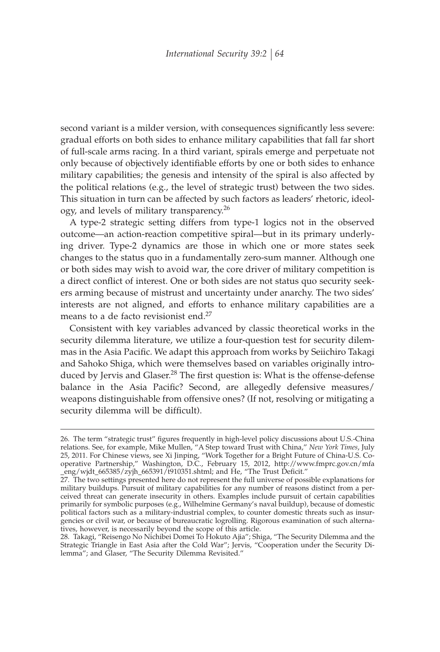second variant is a milder version, with consequences significantly less severe: gradual efforts on both sides to enhance military capabilities that fall far short of full-scale arms racing. In a third variant, spirals emerge and perpetuate not only because of objectively identifiable efforts by one or both sides to enhance military capabilities; the genesis and intensity of the spiral is also affected by the political relations (e.g., the level of strategic trust) between the two sides. This situation in turn can be affected by such factors as leaders' rhetoric, ideology, and levels of military transparency.<sup>26</sup>

A type-2 strategic setting differs from type-1 logics not in the observed outcome—an action-reaction competitive spiral—but in its primary underlying driver. Type-2 dynamics are those in which one or more states seek changes to the status quo in a fundamentally zero-sum manner. Although one or both sides may wish to avoid war, the core driver of military competition is a direct conflict of interest. One or both sides are not status quo security seekers arming because of mistrust and uncertainty under anarchy. The two sides' interests are not aligned, and efforts to enhance military capabilities are a means to a de facto revisionist end.<sup>27</sup>

Consistent with key variables advanced by classic theoretical works in the security dilemma literature, we utilize a four-question test for security dilemmas in the Asia Pacific. We adapt this approach from works by Seiichiro Takagi and Sahoko Shiga, which were themselves based on variables originally introduced by Jervis and Glaser.<sup>28</sup> The first question is: What is the offense-defense balance in the Asia Pacific? Second, are allegedly defensive measures/ weapons distinguishable from offensive ones? (If not, resolving or mitigating a security dilemma will be difficult).

<sup>26.</sup> The term "strategic trust" figures frequently in high-level policy discussions about U.S.-China relations. See, for example, Mike Mullen, "A Step toward Trust with China," *New York Times*, July 25, 2011. For Chinese views, see Xi Jinping, "Work Together for a Bright Future of China-U.S. Cooperative Partnership," Washington, D.C., February 15, 2012, http://www.fmprc.gov.cn/mfa \_eng/wjdt\_665385/zyjh\_665391/t910351.shtml; and He, "The Trust Deficit."

 $27.$  The two settings presented here do not represent the full universe of possible explanations for military buildups. Pursuit of military capabilities for any number of reasons distinct from a perceived threat can generate insecurity in others. Examples include pursuit of certain capabilities primarily for symbolic purposes (e.g., Wilhelmine Germany's naval buildup), because of domestic political factors such as a military-industrial complex, to counter domestic threats such as insurgencies or civil war, or because of bureaucratic logrolling. Rigorous examination of such alternatives, however, is necessarily beyond the scope of this article.

<sup>28.</sup> Takagi, "Reisengo No Nichibei Domei To Hokuto Ajia"; Shiga, "The Security Dilemma and the Strategic Triangle in East Asia after the Cold War"; Jervis, "Cooperation under the Security Dilemma"; and Glaser, "The Security Dilemma Revisited."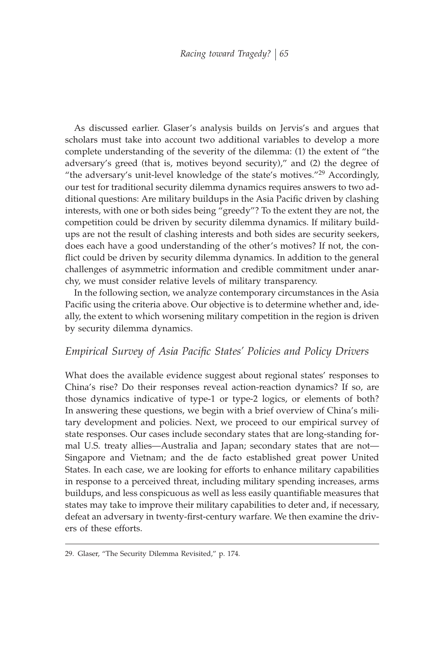As discussed earlier. Glaser's analysis builds on Jervis's and argues that scholars must take into account two additional variables to develop a more complete understanding of the severity of the dilemma: (1) the extent of "the adversary's greed (that is, motives beyond security)," and (2) the degree of "the adversary's unit-level knowledge of the state's motives."<sup>29</sup> Accordingly, our test for traditional security dilemma dynamics requires answers to two additional questions: Are military buildups in the Asia Pacific driven by clashing interests, with one or both sides being "greedy"? To the extent they are not, the competition could be driven by security dilemma dynamics. If military buildups are not the result of clashing interests and both sides are security seekers, does each have a good understanding of the other's motives? If not, the conflict could be driven by security dilemma dynamics. In addition to the general challenges of asymmetric information and credible commitment under anarchy, we must consider relative levels of military transparency.

In the following section, we analyze contemporary circumstances in the Asia Pacific using the criteria above. Our objective is to determine whether and, ideally, the extent to which worsening military competition in the region is driven by security dilemma dynamics.

# *Empirical Survey of Asia Pacific States' Policies and Policy Drivers*

What does the available evidence suggest about regional states' responses to China's rise? Do their responses reveal action-reaction dynamics? If so, are those dynamics indicative of type-1 or type-2 logics, or elements of both? In answering these questions, we begin with a brief overview of China's military development and policies. Next, we proceed to our empirical survey of state responses. Our cases include secondary states that are long-standing formal U.S. treaty allies—Australia and Japan; secondary states that are not— Singapore and Vietnam; and the de facto established great power United States. In each case, we are looking for efforts to enhance military capabilities in response to a perceived threat, including military spending increases, arms buildups, and less conspicuous as well as less easily quantifiable measures that states may take to improve their military capabilities to deter and, if necessary, defeat an adversary in twenty-first-century warfare. We then examine the drivers of these efforts.

<sup>29.</sup> Glaser, "The Security Dilemma Revisited," p. 174.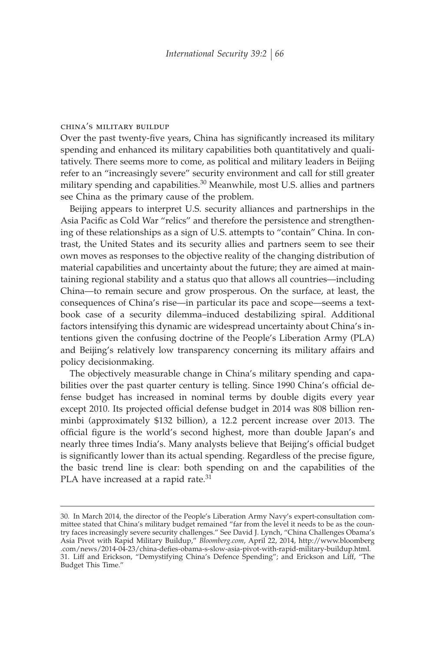#### china's military buildup

Over the past twenty-five years, China has significantly increased its military spending and enhanced its military capabilities both quantitatively and qualitatively. There seems more to come, as political and military leaders in Beijing refer to an "increasingly severe" security environment and call for still greater military spending and capabilities. $30$  Meanwhile, most U.S. allies and partners see China as the primary cause of the problem.

Beijing appears to interpret U.S. security alliances and partnerships in the Asia Pacific as Cold War "relics" and therefore the persistence and strengthening of these relationships as a sign of U.S. attempts to "contain" China. In contrast, the United States and its security allies and partners seem to see their own moves as responses to the objective reality of the changing distribution of material capabilities and uncertainty about the future; they are aimed at maintaining regional stability and a status quo that allows all countries—including China—to remain secure and grow prosperous. On the surface, at least, the consequences of China's rise—in particular its pace and scope—seems a textbook case of a security dilemma–induced destabilizing spiral. Additional factors intensifying this dynamic are widespread uncertainty about China's intentions given the confusing doctrine of the People's Liberation Army (PLA) and Beijing's relatively low transparency concerning its military affairs and policy decisionmaking.

The objectively measurable change in China's military spending and capabilities over the past quarter century is telling. Since 1990 China's official defense budget has increased in nominal terms by double digits every year except 2010. Its projected official defense budget in 2014 was 808 billion renminbi (approximately \$132 billion), a 12.2 percent increase over 2013. The official figure is the world's second highest, more than double Japan's and nearly three times India's. Many analysts believe that Beijing's official budget is significantly lower than its actual spending. Regardless of the precise figure, the basic trend line is clear: both spending on and the capabilities of the PLA have increased at a rapid rate.<sup>31</sup>

<sup>30.</sup> In March 2014, the director of the People's Liberation Army Navy's expert-consultation committee stated that China's military budget remained "far from the level it needs to be as the country faces increasingly severe security challenges." See David J. Lynch, "China Challenges Obama's Asia Pivot with Rapid Military Buildup," *Bloomberg.com*, April 22, 2014, http://www.bloomberg .com/news/2014-04-23/china-defies-obama-s-slow-asia-pivot-with-rapid-military-buildup.html. 31. Liff and Erickson, "Demystifying China's Defence Spending"; and Erickson and Liff, "The Budget This Time."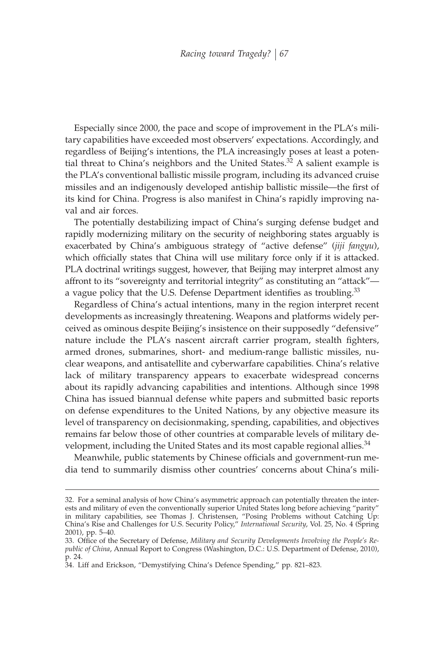Especially since 2000, the pace and scope of improvement in the PLA's military capabilities have exceeded most observers' expectations. Accordingly, and regardless of Beijing's intentions, the PLA increasingly poses at least a potential threat to China's neighbors and the United States.<sup>32</sup> A salient example is the PLA's conventional ballistic missile program, including its advanced cruise missiles and an indigenously developed antiship ballistic missile—the first of its kind for China. Progress is also manifest in China's rapidly improving naval and air forces.

The potentially destabilizing impact of China's surging defense budget and rapidly modernizing military on the security of neighboring states arguably is exacerbated by China's ambiguous strategy of "active defense" (*jiji fangyu*), which officially states that China will use military force only if it is attacked. PLA doctrinal writings suggest, however, that Beijing may interpret almost any affront to its "sovereignty and territorial integrity" as constituting an "attack" a vague policy that the U.S. Defense Department identifies as troubling. $33$ 

Regardless of China's actual intentions, many in the region interpret recent developments as increasingly threatening. Weapons and platforms widely perceived as ominous despite Beijing's insistence on their supposedly "defensive" nature include the PLA's nascent aircraft carrier program, stealth fighters, armed drones, submarines, short- and medium-range ballistic missiles, nuclear weapons, and antisatellite and cyberwarfare capabilities. China's relative lack of military transparency appears to exacerbate widespread concerns about its rapidly advancing capabilities and intentions. Although since 1998 China has issued biannual defense white papers and submitted basic reports on defense expenditures to the United Nations, by any objective measure its level of transparency on decisionmaking, spending, capabilities, and objectives remains far below those of other countries at comparable levels of military development, including the United States and its most capable regional allies.<sup>34</sup>

Meanwhile, public statements by Chinese officials and government-run media tend to summarily dismiss other countries' concerns about China's mili-

<sup>32.</sup> For a seminal analysis of how China's asymmetric approach can potentially threaten the interests and military of even the conventionally superior United States long before achieving "parity" in military capabilities, see Thomas J. Christensen, "Posing Problems without Catching Up: China's Rise and Challenges for U.S. Security Policy," *International Security*, Vol. 25, No. 4 (Spring 2001), pp. 5–40.

<sup>33.</sup> Office of the Secretary of Defense, *Military and Security Developments Involving the People's Republic of China*, Annual Report to Congress (Washington, D.C.: U.S. Department of Defense, 2010), p. 24.

<sup>34.</sup> Liff and Erickson, "Demystifying China's Defence Spending," pp. 821–823.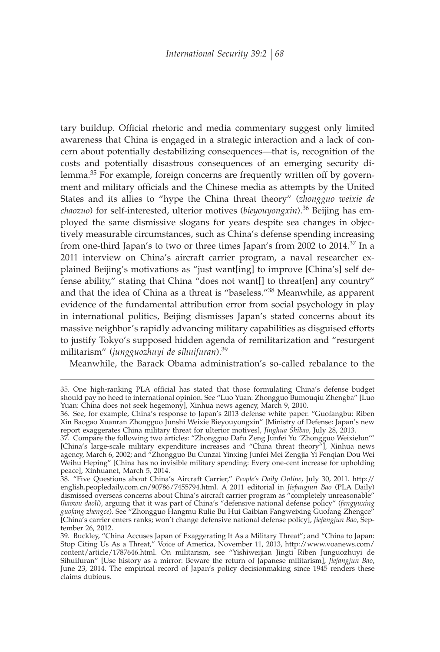tary buildup. Official rhetoric and media commentary suggest only limited awareness that China is engaged in a strategic interaction and a lack of concern about potentially destabilizing consequences—that is, recognition of the costs and potentially disastrous consequences of an emerging security dilemma.<sup>35</sup> For example, foreign concerns are frequently written off by government and military officials and the Chinese media as attempts by the United States and its allies to "hype the China threat theory" (*zhongguo weixie de chaozuo*) for self-interested, ulterior motives (*bieyouyongxin*).<sup>36</sup> Beijing has employed the same dismissive slogans for years despite sea changes in objectively measurable circumstances, such as China's defense spending increasing from one-third Japan's to two or three times Japan's from 2002 to 2014.<sup>37</sup> In a 2011 interview on China's aircraft carrier program, a naval researcher explained Beijing's motivations as "just want[ing] to improve [China's] self defense ability," stating that China "does not want[] to threat[en] any country" and that the idea of China as a threat is "baseless."<sup>38</sup> Meanwhile, as apparent evidence of the fundamental attribution error from social psychology in play in international politics, Beijing dismisses Japan's stated concerns about its massive neighbor's rapidly advancing military capabilities as disguised efforts to justify Tokyo's supposed hidden agenda of remilitarization and "resurgent militarism" (*jungguozhuyi de sihuifuran*).<sup>39</sup>

Meanwhile, the Barack Obama administration's so-called rebalance to the

<sup>35.</sup> One high-ranking PLA official has stated that those formulating China's defense budget should pay no heed to international opinion. See "Luo Yuan: Zhongguo Bumouqiu Zhengba" [Luo Yuan: China does not seek hegemony], Xinhua news agency, March 9, 2010.

<sup>36.</sup> See, for example, China's response to Japan's 2013 defense white paper. "Guofangbu: Riben Xin Baogao Xuanran Zhongguo Junshi Weixie Bieyouyongxin" [Ministry of Defense: Japan's new report exaggerates China military threat for ulterior motives], *Jinghua Shibao*, July 28, 2013.

<sup>37.</sup> Compare the following two articles: "Zhongguo Dafu Zeng Junfei Yu 'Zhongguo Weixielun'" [China's large-scale military expenditure increases and "China threat theory"], Xinhua news agency, March 6, 2002; and "Zhongguo Bu Cunzai Yinxing Junfei Mei Zengjia Yi Fenqian Dou Wei Weihu Heping" [China has no invisible military spending: Every one-cent increase for upholding peace], Xinhuanet, March 5, 2014.

<sup>38. &</sup>quot;Five Questions about China's Aircraft Carrier," *People's Daily Online*, July 30, 2011. http:// english.peopledaily.com.cn/90786/7455794.html. A 2011 editorial in *Jiefangjun Bao* (PLA Daily) dismissed overseas concerns about China's aircraft carrier program as "completely unreasonable" (*haowu daoli*), arguing that it was part of China's "defensive national defense policy" (*fangyuxing guofang zhengce*). See "Zhongguo Hangmu Rulie Bu Hui Gaibian Fangweixing Guofang Zhengce" [China's carrier enters ranks; won't change defensive national defense policy], *Jiefangjun Bao*, September 26, 2012.

<sup>39.</sup> Buckley, "China Accuses Japan of Exaggerating It As a Military Threat"; and "China to Japan: Stop Citing Us As a Threat," Voice of America, November 11, 2013, http://www.voanews.com/ content/article/1787646.html. On militarism, see "Yishiweijian Jingti Riben Junguozhuyi de Sihuifuran" [Use history as a mirror: Beware the return of Japanese militarism], *Jiefangjun Bao*, June 23, 2014. The empirical record of Japan's policy decisionmaking since 1945 renders these claims dubious.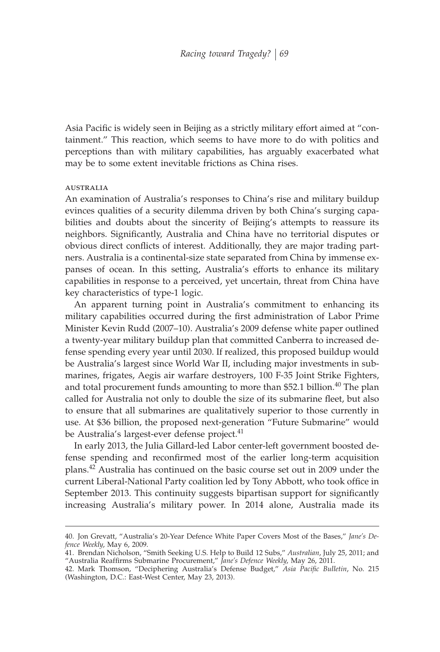Asia Pacific is widely seen in Beijing as a strictly military effort aimed at "containment." This reaction, which seems to have more to do with politics and perceptions than with military capabilities, has arguably exacerbated what may be to some extent inevitable frictions as China rises.

#### australia

An examination of Australia's responses to China's rise and military buildup evinces qualities of a security dilemma driven by both China's surging capabilities and doubts about the sincerity of Beijing's attempts to reassure its neighbors. Significantly, Australia and China have no territorial disputes or obvious direct conflicts of interest. Additionally, they are major trading partners. Australia is a continental-size state separated from China by immense expanses of ocean. In this setting, Australia's efforts to enhance its military capabilities in response to a perceived, yet uncertain, threat from China have key characteristics of type-1 logic.

An apparent turning point in Australia's commitment to enhancing its military capabilities occurred during the first administration of Labor Prime Minister Kevin Rudd (2007–10). Australia's 2009 defense white paper outlined a twenty-year military buildup plan that committed Canberra to increased defense spending every year until 2030. If realized, this proposed buildup would be Australia's largest since World War II, including major investments in submarines, frigates, Aegis air warfare destroyers, 100 F-35 Joint Strike Fighters, and total procurement funds amounting to more than \$52.1 billion.<sup>40</sup> The plan called for Australia not only to double the size of its submarine fleet, but also to ensure that all submarines are qualitatively superior to those currently in use. At \$36 billion, the proposed next-generation "Future Submarine" would be Australia's largest-ever defense project.<sup>41</sup>

In early 2013, the Julia Gillard-led Labor center-left government boosted defense spending and reconfirmed most of the earlier long-term acquisition plans.<sup>42</sup> Australia has continued on the basic course set out in 2009 under the current Liberal-National Party coalition led by Tony Abbott, who took office in September 2013. This continuity suggests bipartisan support for significantly increasing Australia's military power. In 2014 alone, Australia made its

<sup>40.</sup> Jon Grevatt, "Australia's 20-Year Defence White Paper Covers Most of the Bases," *Jane's Defence Weekly*, May 6, 2009.

<sup>41.</sup> Brendan Nicholson, "Smith Seeking U.S. Help to Build 12 Subs," *Australian*, July 25, 2011; and "Australia Reaffirms Submarine Procurement," *Jane's Defence Weekly*, May 26, 2011.

<sup>42.</sup> Mark Thomson, "Deciphering Australia's Defense Budget," *Asia Pacific Bulletin*, No. 215 (Washington, D.C.: East-West Center, May 23, 2013).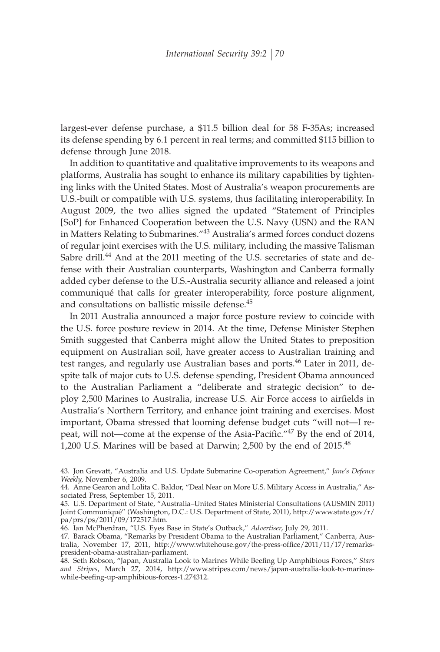largest-ever defense purchase, a \$11.5 billion deal for 58 F-35As; increased its defense spending by 6.1 percent in real terms; and committed \$115 billion to defense through June 2018.

In addition to quantitative and qualitative improvements to its weapons and platforms, Australia has sought to enhance its military capabilities by tightening links with the United States. Most of Australia's weapon procurements are U.S.-built or compatible with U.S. systems, thus facilitating interoperability. In August 2009, the two allies signed the updated "Statement of Principles [SoP] for Enhanced Cooperation between the U.S. Navy (USN) and the RAN in Matters Relating to Submarines."<sup>43</sup> Australia's armed forces conduct dozens of regular joint exercises with the U.S. military, including the massive Talisman Sabre drill.<sup>44</sup> And at the 2011 meeting of the U.S. secretaries of state and defense with their Australian counterparts, Washington and Canberra formally added cyber defense to the U.S.-Australia security alliance and released a joint communiqué that calls for greater interoperability, force posture alignment, and consultations on ballistic missile defense.<sup>45</sup>

In 2011 Australia announced a major force posture review to coincide with the U.S. force posture review in 2014. At the time, Defense Minister Stephen Smith suggested that Canberra might allow the United States to preposition equipment on Australian soil, have greater access to Australian training and test ranges, and regularly use Australian bases and ports.<sup>46</sup> Later in 2011, despite talk of major cuts to U.S. defense spending, President Obama announced to the Australian Parliament a "deliberate and strategic decision" to deploy 2,500 Marines to Australia, increase U.S. Air Force access to airfields in Australia's Northern Territory, and enhance joint training and exercises. Most important, Obama stressed that looming defense budget cuts "will not—I repeat, will not—come at the expense of the Asia-Pacific."<sup>47</sup> By the end of 2014, 1,200 U.S. Marines will be based at Darwin; 2,500 by the end of 2015.<sup>48</sup>

<sup>43.</sup> Jon Grevatt, "Australia and U.S. Update Submarine Co-operation Agreement," *Jane's Defence Weekly*, November 6, 2009.

<sup>44.</sup> Anne Gearon and Lolita C. Baldor, "Deal Near on More U.S. Military Access in Australia," Associated Press, September 15, 2011.

<sup>45.</sup> U.S. Department of State, "Australia–United States Ministerial Consultations (AUSMIN 2011) Joint Communiqué" (Washington, D.C.: U.S. Department of State, 2011), http://www.state.gov/r/ pa/prs/ps/2011/09/172517.htm.

<sup>46.</sup> Ian McPherdran, "U.S. Eyes Base in State's Outback," *Advertiser*, July 29, 2011.

<sup>47.</sup> Barack Obama, "Remarks by President Obama to the Australian Parliament," Canberra, Australia, November 17, 2011, http://www.whitehouse.gov/the-press-office/2011/11/17/remarkspresident-obama-australian-parliament.

<sup>48.</sup> Seth Robson, "Japan, Australia Look to Marines While Beeªng Up Amphibious Forces," *Stars and Stripes*, March 27, 2014, http://www.stripes.com/news/japan-australia-look-to-marineswhile-beefing-up-amphibious-forces-1.274312.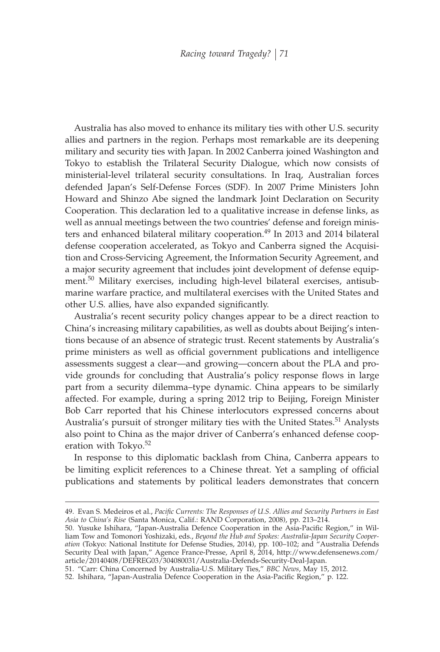Australia has also moved to enhance its military ties with other U.S. security allies and partners in the region. Perhaps most remarkable are its deepening military and security ties with Japan. In 2002 Canberra joined Washington and Tokyo to establish the Trilateral Security Dialogue, which now consists of ministerial-level trilateral security consultations. In Iraq, Australian forces defended Japan's Self-Defense Forces (SDF). In 2007 Prime Ministers John Howard and Shinzo Abe signed the landmark Joint Declaration on Security Cooperation. This declaration led to a qualitative increase in defense links, as well as annual meetings between the two countries' defense and foreign ministers and enhanced bilateral military cooperation.<sup>49</sup> In 2013 and 2014 bilateral defense cooperation accelerated, as Tokyo and Canberra signed the Acquisition and Cross-Servicing Agreement, the Information Security Agreement, and a major security agreement that includes joint development of defense equipment.<sup>50</sup> Military exercises, including high-level bilateral exercises, antisubmarine warfare practice, and multilateral exercises with the United States and other U.S. allies, have also expanded significantly.

Australia's recent security policy changes appear to be a direct reaction to China's increasing military capabilities, as well as doubts about Beijing's intentions because of an absence of strategic trust. Recent statements by Australia's prime ministers as well as official government publications and intelligence assessments suggest a clear—and growing—concern about the PLA and provide grounds for concluding that Australia's policy response flows in large part from a security dilemma–type dynamic. China appears to be similarly affected. For example, during a spring 2012 trip to Beijing, Foreign Minister Bob Carr reported that his Chinese interlocutors expressed concerns about Australia's pursuit of stronger military ties with the United States.<sup>51</sup> Analysts also point to China as the major driver of Canberra's enhanced defense cooperation with Tokyo.<sup>52</sup>

In response to this diplomatic backlash from China, Canberra appears to be limiting explicit references to a Chinese threat. Yet a sampling of official publications and statements by political leaders demonstrates that concern

<sup>49.</sup> Evan S. Medeiros et al., *Pacific Currents: The Responses of U.S. Allies and Security Partners in East Asia to China's Rise* (Santa Monica, Calif.: RAND Corporation, 2008), pp. 213–214.

<sup>50.</sup> Yusuke Ishihara, "Japan-Australia Defence Cooperation in the Asia-Pacific Region," in William Tow and Tomonori Yoshizaki, eds., *Beyond the Hub and Spokes: Australia-Japan Security Cooperation* (Tokyo: National Institute for Defense Studies, 2014), pp. 100–102; and "Australia Defends Security Deal with Japan," Agence France-Presse, April 8, 2014, http://www.defensenews.com/ article/20140408/DEFREG03/304080031/Australia-Defends-Security-Deal-Japan.

<sup>51. &</sup>quot;Carr: China Concerned by Australia-U.S. Military Ties," *BBC News*, May 15, 2012.

<sup>52.</sup> Ishihara, "Japan-Australia Defence Cooperation in the Asia-Pacific Region," p. 122.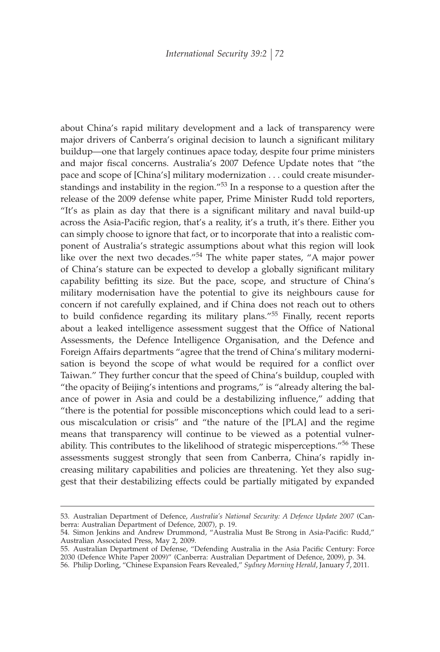about China's rapid military development and a lack of transparency were major drivers of Canberra's original decision to launch a significant military buildup—one that largely continues apace today, despite four prime ministers and major fiscal concerns. Australia's 2007 Defence Update notes that "the pace and scope of [China's] military modernization . . . could create misunderstandings and instability in the region."<sup>53</sup> In a response to a question after the release of the 2009 defense white paper, Prime Minister Rudd told reporters, "It's as plain as day that there is a significant military and naval build-up across the Asia-Pacific region, that's a reality, it's a truth, it's there. Either you can simply choose to ignore that fact, or to incorporate that into a realistic component of Australia's strategic assumptions about what this region will look like over the next two decades."<sup>54</sup> The white paper states, "A major power of China's stature can be expected to develop a globally significant military capability befitting its size. But the pace, scope, and structure of China's military modernisation have the potential to give its neighbours cause for concern if not carefully explained, and if China does not reach out to others to build confidence regarding its military plans." $55$  Finally, recent reports about a leaked intelligence assessment suggest that the Office of National Assessments, the Defence Intelligence Organisation, and the Defence and Foreign Affairs departments "agree that the trend of China's military modernisation is beyond the scope of what would be required for a conflict over Taiwan." They further concur that the speed of China's buildup, coupled with "the opacity of Beijing's intentions and programs," is "already altering the balance of power in Asia and could be a destabilizing influence," adding that "there is the potential for possible misconceptions which could lead to a serious miscalculation or crisis" and "the nature of the [PLA] and the regime means that transparency will continue to be viewed as a potential vulnerability. This contributes to the likelihood of strategic misperceptions."<sup>56</sup> These assessments suggest strongly that seen from Canberra, China's rapidly increasing military capabilities and policies are threatening. Yet they also suggest that their destabilizing effects could be partially mitigated by expanded

<sup>53.</sup> Australian Department of Defence, *Australia's National Security: A Defence Update 2007* (Canberra: Australian Department of Defence, 2007), p. 19.

<sup>54.</sup> Simon Jenkins and Andrew Drummond, "Australia Must Be Strong in Asia-Pacific: Rudd," Australian Associated Press, May 2, 2009.

<sup>55.</sup> Australian Department of Defense, "Defending Australia in the Asia Pacific Century: Force 2030 (Defence White Paper 2009)" (Canberra: Australian Department of Defence, 2009), p. 34. 56. Philip Dorling, "Chinese Expansion Fears Revealed," *Sydney Morning Herald*, January 7, 2011.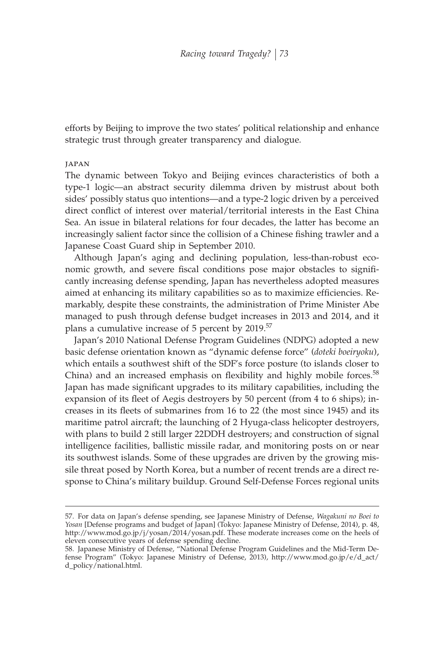efforts by Beijing to improve the two states' political relationship and enhance strategic trust through greater transparency and dialogue.

#### japan

The dynamic between Tokyo and Beijing evinces characteristics of both a type-1 logic—an abstract security dilemma driven by mistrust about both sides' possibly status quo intentions—and a type-2 logic driven by a perceived direct conflict of interest over material/territorial interests in the East China Sea. An issue in bilateral relations for four decades, the latter has become an increasingly salient factor since the collision of a Chinese fishing trawler and a Japanese Coast Guard ship in September 2010.

Although Japan's aging and declining population, less-than-robust economic growth, and severe fiscal conditions pose major obstacles to significantly increasing defense spending, Japan has nevertheless adopted measures aimed at enhancing its military capabilities so as to maximize efficiencies. Remarkably, despite these constraints, the administration of Prime Minister Abe managed to push through defense budget increases in 2013 and 2014, and it plans a cumulative increase of 5 percent by 2019.<sup>57</sup>

Japan's 2010 National Defense Program Guidelines (NDPG) adopted a new basic defense orientation known as "dynamic defense force" (*doteki boeiryoku*), which entails a southwest shift of the SDF's force posture (to islands closer to China) and an increased emphasis on flexibility and highly mobile forces. $58$ Japan has made significant upgrades to its military capabilities, including the expansion of its fleet of Aegis destroyers by 50 percent (from 4 to 6 ships); increases in its fleets of submarines from 16 to 22 (the most since 1945) and its maritime patrol aircraft; the launching of 2 Hyuga-class helicopter destroyers, with plans to build 2 still larger 22DDH destroyers; and construction of signal intelligence facilities, ballistic missile radar, and monitoring posts on or near its southwest islands. Some of these upgrades are driven by the growing missile threat posed by North Korea, but a number of recent trends are a direct response to China's military buildup. Ground Self-Defense Forces regional units

<sup>57.</sup> For data on Japan's defense spending, see Japanese Ministry of Defense, *Wagakuni no Boei to Yosan* [Defense programs and budget of Japan] (Tokyo: Japanese Ministry of Defense, 2014), p. 48, http://www.mod.go.jp/j/yosan/2014/yosan.pdf. These moderate increases come on the heels of eleven consecutive years of defense spending decline.

<sup>58.</sup> Japanese Ministry of Defense, "National Defense Program Guidelines and the Mid-Term Defense Program" (Tokyo: Japanese Ministry of Defense, 2013), http://www.mod.go.jp/e/d\_act/ d\_policy/national.html.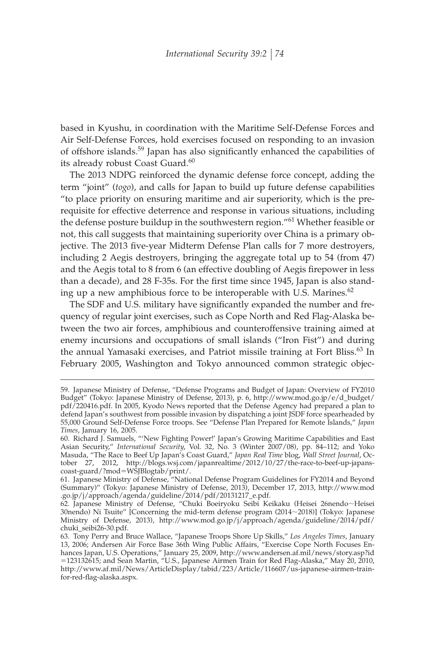based in Kyushu, in coordination with the Maritime Self-Defense Forces and Air Self-Defense Forces, hold exercises focused on responding to an invasion of offshore islands.<sup>59</sup> Japan has also significantly enhanced the capabilities of its already robust Coast Guard.<sup>60</sup>

The 2013 NDPG reinforced the dynamic defense force concept, adding the term "joint" (*togo*), and calls for Japan to build up future defense capabilities "to place priority on ensuring maritime and air superiority, which is the prerequisite for effective deterrence and response in various situations, including the defense posture buildup in the southwestern region."<sup>61</sup> Whether feasible or not, this call suggests that maintaining superiority over China is a primary objective. The 2013 five-year Midterm Defense Plan calls for 7 more destroyers, including 2 Aegis destroyers, bringing the aggregate total up to 54 (from 47) and the Aegis total to 8 from 6 (an effective doubling of Aegis firepower in less than a decade), and 28 F-35s. For the first time since 1945, Japan is also standing up a new amphibious force to be interoperable with U.S. Marines. $62$ 

The SDF and U.S. military have significantly expanded the number and frequency of regular joint exercises, such as Cope North and Red Flag-Alaska between the two air forces, amphibious and counteroffensive training aimed at enemy incursions and occupations of small islands ("Iron Fist") and during the annual Yamasaki exercises, and Patriot missile training at Fort Bliss.<sup>63</sup> In February 2005, Washington and Tokyo announced common strategic objec-

<sup>59.</sup> Japanese Ministry of Defense, "Defense Programs and Budget of Japan: Overview of FY2010 Budget" (Tokyo: Japanese Ministry of Defense, 2013), p. 6, http://www.mod.go.jp/e/d\_budget/ pdf/220416.pdf. In 2005, Kyodo News reported that the Defense Agency had prepared a plan to defend Japan's southwest from possible invasion by dispatching a joint JSDF force spearheaded by 55,000 Ground Self-Defense Force troops. See "Defense Plan Prepared for Remote Islands," *Japan Times*, January 16, 2005.

<sup>60.</sup> Richard J. Samuels, "'New Fighting Power!' Japan's Growing Maritime Capabilities and East Asian Security," *International Security*, Vol. 32, No. 3 (Winter 2007/08), pp. 84–112; and Yoko Masuda, "The Race to Beef Up Japan's Coast Guard," *Japan Real Time* blog, *Wall Street Journal*, October 27, 2012, http://blogs.wsj.com/japanrealtime/2012/10/27/the-race-to-beef-up-japanscoast-guard/?mod-WSJBlogtab/print/.

<sup>61.</sup> Japanese Ministry of Defense, "National Defense Program Guidelines for FY2014 and Beyond (Summary)" (Tokyo: Japanese Ministry of Defense, 2013), December 17, 2013, http://www.mod .go.jp/j/approach/agenda/guideline/2014/pdf/20131217\_e.pdf.

<sup>62.</sup> Japanese Ministry of Defense, "Chuki Boeiryoku Seibi Keikaku (Heisei 26nendo~Heisei 30nendo) Ni Tsuite" [Concerning the mid-term defense program (2014~2018)] (Tokyo: Japanese Ministry of Defense, 2013), http://www.mod.go.jp/j/approach/agenda/guideline/2014/pdf/ chuki\_seibi26-30.pdf.

<sup>63.</sup> Tony Perry and Bruce Wallace, "Japanese Troops Shore Up Skills," *Los Angeles Times*, January 13, 2006; Andersen Air Force Base 36th Wing Public Affairs, "Exercise Cope North Focuses Enhances Japan, U.S. Operations," January 25, 2009, http://www.andersen.af.mil/news/story.asp?id -123132615; and Sean Martin, "U.S., Japanese Airmen Train for Red Flag-Alaska," May 20, 2010, http://www.af.mil/News/ArticleDisplay/tabid/223/Article/116607/us-japanese-airmen-trainfor-red-flag-alaska.aspx.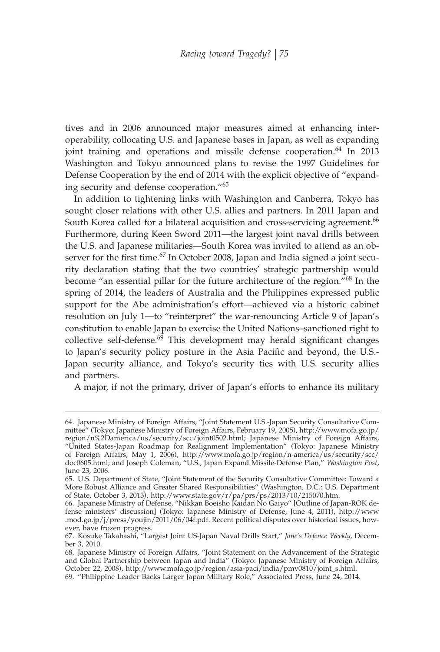tives and in 2006 announced major measures aimed at enhancing interoperability, collocating U.S. and Japanese bases in Japan, as well as expanding joint training and operations and missile defense cooperation.<sup>64</sup> In 2013 Washington and Tokyo announced plans to revise the 1997 Guidelines for Defense Cooperation by the end of 2014 with the explicit objective of "expanding security and defense cooperation."<sup>65</sup>

In addition to tightening links with Washington and Canberra, Tokyo has sought closer relations with other U.S. allies and partners. In 2011 Japan and South Korea called for a bilateral acquisition and cross-servicing agreement.<sup>66</sup> Furthermore, during Keen Sword 2011—the largest joint naval drills between the U.S. and Japanese militaries—South Korea was invited to attend as an observer for the first time.<sup>67</sup> In October 2008, Japan and India signed a joint security declaration stating that the two countries' strategic partnership would become "an essential pillar for the future architecture of the region."<sup>68</sup> In the spring of 2014, the leaders of Australia and the Philippines expressed public support for the Abe administration's effort—achieved via a historic cabinet resolution on July 1—to "reinterpret" the war-renouncing Article 9 of Japan's constitution to enable Japan to exercise the United Nations–sanctioned right to collective self-defense. $69$  This development may herald significant changes to Japan's security policy posture in the Asia Pacific and beyond, the U.S.-Japan security alliance, and Tokyo's security ties with U.S. security allies and partners.

A major, if not the primary, driver of Japan's efforts to enhance its military

<sup>64.</sup> Japanese Ministry of Foreign Affairs, "Joint Statement U.S.-Japan Security Consultative Committee" (Tokyo: Japanese Ministry of Foreign Affairs, February 19, 2005), http://www.mofa.go.jp/ region/n%2Damerica/us/security/scc/joint0502.html; Japanese Ministry of Foreign Affairs, "United States-Japan Roadmap for Realignment Implementation" (Tokyo: Japanese Ministry of Foreign Affairs, May 1, 2006), http://www.mofa.go.jp/region/n-america/us/security/scc/ doc0605.html; and Joseph Coleman, "U.S., Japan Expand Missile-Defense Plan," *Washington Post*, June 23, 2006.

<sup>65.</sup> U.S. Department of State, "Joint Statement of the Security Consultative Committee: Toward a More Robust Alliance and Greater Shared Responsibilities" (Washington, D.C.: U.S. Department of State, October 3, 2013), http://www.state.gov/r/pa/prs/ps/2013/10/215070.htm.

<sup>66.</sup> Japanese Ministry of Defense, "Nikkan Boeisho Kaidan No Gaiyo" [Outline of Japan-ROK defense ministers' discussion] (Tokyo: Japanese Ministry of Defense, June 4, 2011), http://www .mod.go.jp/j/press/youjin/2011/06/04f.pdf. Recent political disputes over historical issues, however, have frozen progress.

<sup>67.</sup> Kosuke Takahashi, "Largest Joint US-Japan Naval Drills Start," *Jane's Defence Weekly*, December 3, 2010.

<sup>68.</sup> Japanese Ministry of Foreign Affairs, "Joint Statement on the Advancement of the Strategic and Global Partnership between Japan and India" (Tokyo: Japanese Ministry of Foreign Affairs, October 22, 2008), http://www.mofa.go.jp/region/asia-paci/india/pmv0810/joint\_s.html.

<sup>69. &</sup>quot;Philippine Leader Backs Larger Japan Military Role," Associated Press, June 24, 2014.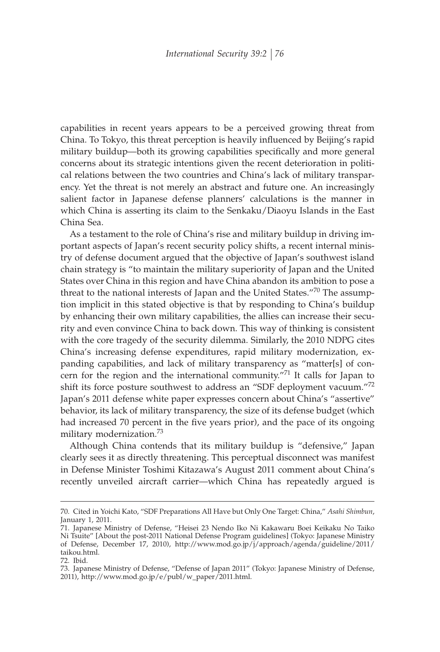capabilities in recent years appears to be a perceived growing threat from China. To Tokyo, this threat perception is heavily influenced by Beijing's rapid military buildup—both its growing capabilities specifically and more general concerns about its strategic intentions given the recent deterioration in political relations between the two countries and China's lack of military transparency. Yet the threat is not merely an abstract and future one. An increasingly salient factor in Japanese defense planners' calculations is the manner in which China is asserting its claim to the Senkaku/Diaoyu Islands in the East China Sea.

As a testament to the role of China's rise and military buildup in driving important aspects of Japan's recent security policy shifts, a recent internal ministry of defense document argued that the objective of Japan's southwest island chain strategy is "to maintain the military superiority of Japan and the United States over China in this region and have China abandon its ambition to pose a threat to the national interests of Japan and the United States."<sup>70</sup> The assumption implicit in this stated objective is that by responding to China's buildup by enhancing their own military capabilities, the allies can increase their security and even convince China to back down. This way of thinking is consistent with the core tragedy of the security dilemma. Similarly, the 2010 NDPG cites China's increasing defense expenditures, rapid military modernization, expanding capabilities, and lack of military transparency as "matter[s] of concern for the region and the international community."<sup>71</sup> It calls for Japan to shift its force posture southwest to address an "SDF deployment vacuum."<sup>72</sup> Japan's 2011 defense white paper expresses concern about China's "assertive" behavior, its lack of military transparency, the size of its defense budget (which had increased 70 percent in the five years prior), and the pace of its ongoing military modernization.<sup>73</sup>

Although China contends that its military buildup is "defensive," Japan clearly sees it as directly threatening. This perceptual disconnect was manifest in Defense Minister Toshimi Kitazawa's August 2011 comment about China's recently unveiled aircraft carrier—which China has repeatedly argued is

<sup>70.</sup> Cited in Yoichi Kato, "SDF Preparations All Have but Only One Target: China," *Asahi Shimbun*, January 1, 2011.

<sup>71.</sup> Japanese Ministry of Defense, "Heisei 23 Nendo Iko Ni Kakawaru Boei Keikaku No Taiko Ni Tsuite" [About the post-2011 National Defense Program guidelines] (Tokyo: Japanese Ministry of Defense, December 17, 2010), http://www.mod.go.jp/j/approach/agenda/guideline/2011/ taikou.html.

<sup>72.</sup> Ibid.

<sup>73.</sup> Japanese Ministry of Defense, "Defense of Japan 2011" (Tokyo: Japanese Ministry of Defense, 2011), http://www.mod.go.jp/e/publ/w\_paper/2011.html.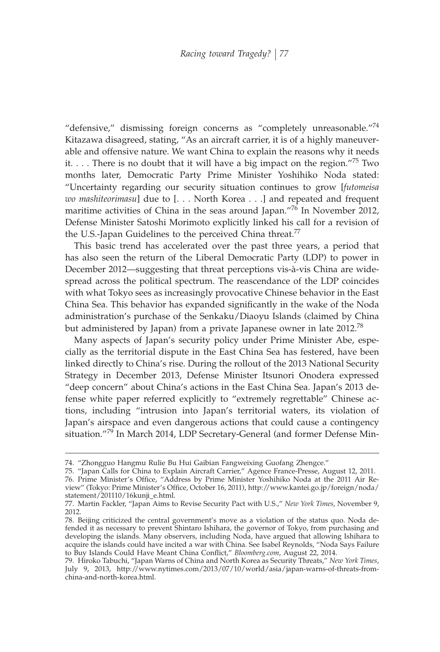"defensive," dismissing foreign concerns as "completely unreasonable."<sup>74</sup> Kitazawa disagreed, stating, "As an aircraft carrier, it is of a highly maneuverable and offensive nature. We want China to explain the reasons why it needs it.  $\ldots$  There is no doubt that it will have a big impact on the region."<sup>75</sup> Two months later, Democratic Party Prime Minister Yoshihiko Noda stated: "Uncertainty regarding our security situation continues to grow [*futomeisa wo mashiteorimasu*] due to [. . . North Korea . . .] and repeated and frequent maritime activities of China in the seas around Japan." $\frac{7}{6}$  In November 2012, Defense Minister Satoshi Morimoto explicitly linked his call for a revision of the U.S.-Japan Guidelines to the perceived China threat.<sup>77</sup>

This basic trend has accelerated over the past three years, a period that has also seen the return of the Liberal Democratic Party (LDP) to power in December 2012—suggesting that threat perceptions vis-à-vis China are widespread across the political spectrum. The reascendance of the LDP coincides with what Tokyo sees as increasingly provocative Chinese behavior in the East China Sea. This behavior has expanded significantly in the wake of the Noda administration's purchase of the Senkaku/Diaoyu Islands (claimed by China but administered by Japan) from a private Japanese owner in late 2012.<sup>78</sup>

Many aspects of Japan's security policy under Prime Minister Abe, especially as the territorial dispute in the East China Sea has festered, have been linked directly to China's rise. During the rollout of the 2013 National Security Strategy in December 2013, Defense Minister Itsunori Onodera expressed "deep concern" about China's actions in the East China Sea. Japan's 2013 defense white paper referred explicitly to "extremely regrettable" Chinese actions, including "intrusion into Japan's territorial waters, its violation of Japan's airspace and even dangerous actions that could cause a contingency situation."<sup>79</sup> In March 2014, LDP Secretary-General (and former Defense Min-

<sup>74. &</sup>quot;Zhongguo Hangmu Rulie Bu Hui Gaibian Fangweixing Guofang Zhengce."

<sup>75. &</sup>quot;Japan Calls for China to Explain Aircraft Carrier," Agence France-Presse, August 12, 2011. 76. Prime Minister's Office, "Address by Prime Minister Yoshihiko Noda at the 2011 Air Review" (Tokyo: Prime Minister's Office, October 16, 2011), http://www.kantei.go.jp/foreign/noda/ statement/201110/16kunji\_e.html.

<sup>77.</sup> Martin Fackler, "Japan Aims to Revise Security Pact with U.S.," *New York Times*, November 9, 2012.

<sup>78.</sup> Beijing criticized the central government's move as a violation of the status quo. Noda defended it as necessary to prevent Shintaro Ishihara, the governor of Tokyo, from purchasing and developing the islands. Many observers, including Noda, have argued that allowing Ishihara to acquire the islands could have incited a war with China. See Isabel Reynolds, "Noda Says Failure to Buy Islands Could Have Meant China Conflict," *Bloomberg.com*, August 22, 2014.

<sup>79.</sup> Hiroko Tabuchi, "Japan Warns of China and North Korea as Security Threats," *New York Times*, July 9, 2013, http://www.nytimes.com/2013/07/10/world/asia/japan-warns-of-threats-fromchina-and-north-korea.html.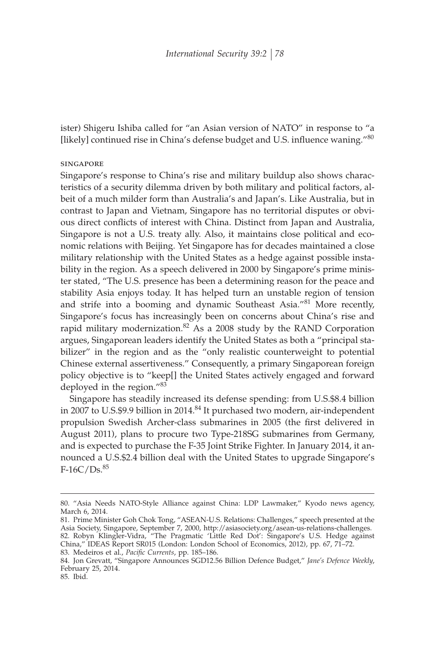ister) Shigeru Ishiba called for "an Asian version of NATO" in response to "a [likely] continued rise in China's defense budget and U.S. influence waning." $80$ 

#### **SINGAPORE**

Singapore's response to China's rise and military buildup also shows characteristics of a security dilemma driven by both military and political factors, albeit of a much milder form than Australia's and Japan's. Like Australia, but in contrast to Japan and Vietnam, Singapore has no territorial disputes or obvious direct conflicts of interest with China. Distinct from Japan and Australia, Singapore is not a U.S. treaty ally. Also, it maintains close political and economic relations with Beijing. Yet Singapore has for decades maintained a close military relationship with the United States as a hedge against possible instability in the region. As a speech delivered in 2000 by Singapore's prime minister stated, "The U.S. presence has been a determining reason for the peace and stability Asia enjoys today. It has helped turn an unstable region of tension and strife into a booming and dynamic Southeast Asia." $81$  More recently, Singapore's focus has increasingly been on concerns about China's rise and rapid military modernization.<sup>82</sup> As a 2008 study by the RAND Corporation argues, Singaporean leaders identify the United States as both a "principal stabilizer" in the region and as the "only realistic counterweight to potential Chinese external assertiveness." Consequently, a primary Singaporean foreign policy objective is to "keep[] the United States actively engaged and forward deployed in the region."<sup>83</sup>

Singapore has steadily increased its defense spending: from U.S.\$8.4 billion in 2007 to U.S.\$9.9 billion in 2014.<sup>84</sup> It purchased two modern, air-independent propulsion Swedish Archer-class submarines in 2005 (the first delivered in August 2011), plans to procure two Type-218SG submarines from Germany, and is expected to purchase the F-35 Joint Strike Fighter. In January 2014, it announced a U.S.\$2.4 billion deal with the United States to upgrade Singapore's  $F-16C/Ds.<sup>85</sup>$ 

<sup>80. &</sup>quot;Asia Needs NATO-Style Alliance against China: LDP Lawmaker," Kyodo news agency, March 6, 2014.

<sup>81.</sup> Prime Minister Goh Chok Tong, "ASEAN-U.S. Relations: Challenges," speech presented at the Asia Society, Singapore, September 7, 2000, http://asiasociety.org/asean-us-relations-challenges. 82. Robyn Klingler-Vidra, "The Pragmatic 'Little Red Dot': Singapore's U.S. Hedge against China," IDEAS Report SR015 (London: London School of Economics, 2012), pp. 67, 71–72. 83. Medeiros et al., Pacific Currents, pp. 185-186.

<sup>84.</sup> Jon Grevatt, "Singapore Announces SGD12.56 Billion Defence Budget," *Jane's Defence Weekly*, February 25, 2014.

<sup>85.</sup> Ibid.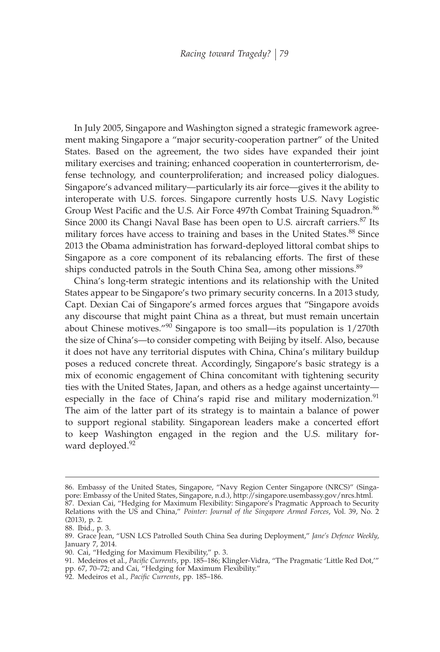In July 2005, Singapore and Washington signed a strategic framework agreement making Singapore a "major security-cooperation partner" of the United States. Based on the agreement, the two sides have expanded their joint military exercises and training; enhanced cooperation in counterterrorism, defense technology, and counterproliferation; and increased policy dialogues. Singapore's advanced military—particularly its air force—gives it the ability to interoperate with U.S. forces. Singapore currently hosts U.S. Navy Logistic Group West Pacific and the U.S. Air Force 497th Combat Training Squadron.<sup>86</sup> Since 2000 its Changi Naval Base has been open to U.S. aircraft carriers.<sup>87</sup> Its military forces have access to training and bases in the United States.<sup>88</sup> Since 2013 the Obama administration has forward-deployed littoral combat ships to Singapore as a core component of its rebalancing efforts. The first of these ships conducted patrols in the South China Sea, among other missions.<sup>89</sup>

China's long-term strategic intentions and its relationship with the United States appear to be Singapore's two primary security concerns. In a 2013 study, Capt. Dexian Cai of Singapore's armed forces argues that "Singapore avoids any discourse that might paint China as a threat, but must remain uncertain about Chinese motives."<sup>90</sup> Singapore is too small—its population is  $1/270$ th the size of China's—to consider competing with Beijing by itself. Also, because it does not have any territorial disputes with China, China's military buildup poses a reduced concrete threat. Accordingly, Singapore's basic strategy is a mix of economic engagement of China concomitant with tightening security ties with the United States, Japan, and others as a hedge against uncertainty especially in the face of China's rapid rise and military modernization.<sup>91</sup> The aim of the latter part of its strategy is to maintain a balance of power to support regional stability. Singaporean leaders make a concerted effort to keep Washington engaged in the region and the U.S. military forward deployed.<sup>92</sup>

- 90. Cai, "Hedging for Maximum Flexibility," p. 3.
- 91. Medeiros et al., *Pacific Currents*, pp. 185-186; Klingler-Vidra, "The Pragmatic 'Little Red Dot,"
- pp. 67, 70–72; and Cai, "Hedging for Maximum Flexibility."
- 92. Medeiros et al., *Pacific Currents*, pp. 185–186.

<sup>86.</sup> Embassy of the United States, Singapore, "Navy Region Center Singapore (NRCS)" (Singapore: Embassy of the United States, Singapore, n.d.), http://singapore.usembassy.gov/nrcs.html. 87. Dexian Cai, "Hedging for Maximum Flexibility: Singapore's Pragmatic Approach to Security

Relations with the US and China," *Pointer: Journal of the Singapore Armed Forces*, Vol. 39, No. 2 (2013), p. 2.

<sup>88.</sup> Ibid., p. 3.

<sup>89.</sup> Grace Jean, "USN LCS Patrolled South China Sea during Deployment," *Jane's Defence Weekly*, January 7, 2014.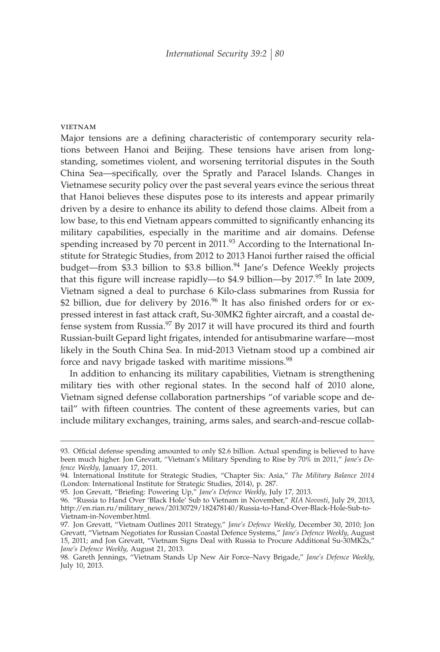#### vietnam

Major tensions are a defining characteristic of contemporary security relations between Hanoi and Beijing. These tensions have arisen from longstanding, sometimes violent, and worsening territorial disputes in the South China Sea—specifically, over the Spratly and Paracel Islands. Changes in Vietnamese security policy over the past several years evince the serious threat that Hanoi believes these disputes pose to its interests and appear primarily driven by a desire to enhance its ability to defend those claims. Albeit from a low base, to this end Vietnam appears committed to significantly enhancing its military capabilities, especially in the maritime and air domains. Defense spending increased by 70 percent in 2011.<sup>93</sup> According to the International Institute for Strategic Studies, from 2012 to 2013 Hanoi further raised the official budget—from  $$3.3$  billion to  $$3.8$  billion.<sup>94</sup> Jane's Defence Weekly projects that this figure will increase rapidly—to \$4.9 billion—by 2017.<sup>95</sup> In late 2009, Vietnam signed a deal to purchase 6 Kilo-class submarines from Russia for \$2 billion, due for delivery by  $2016<sup>96</sup>$  It has also finished orders for or expressed interest in fast attack craft, Su-30MK2 fighter aircraft, and a coastal defense system from Russia.<sup>97</sup> By 2017 it will have procured its third and fourth Russian-built Gepard light frigates, intended for antisubmarine warfare—most likely in the South China Sea. In mid-2013 Vietnam stood up a combined air force and navy brigade tasked with maritime missions.<sup>98</sup>

In addition to enhancing its military capabilities, Vietnam is strengthening military ties with other regional states. In the second half of 2010 alone, Vietnam signed defense collaboration partnerships "of variable scope and detail" with fifteen countries. The content of these agreements varies, but can include military exchanges, training, arms sales, and search-and-rescue collab-

<sup>93.</sup> Official defense spending amounted to only \$2.6 billion. Actual spending is believed to have been much higher. Jon Grevatt, "Vietnam's Military Spending to Rise by 70% in 2011," *Jane's Defence Weekly*, January 17, 2011.

<sup>94.</sup> International Institute for Strategic Studies, "Chapter Six: Asia," *The Military Balance 2014* (London: International Institute for Strategic Studies, 2014), p. 287.

<sup>95.</sup> Jon Grevatt, "Briefing: Powering Up," *Jane's Defence Weekly, July 17, 2013*.

<sup>96. &</sup>quot;Russia to Hand Over 'Black Hole' Sub to Vietnam in November," *RIA Novosti*, July 29, 2013, http://en.rian.ru/military\_news/20130729/182478140/Russia-to-Hand-Over-Black-Hole-Sub-to-Vietnam-in-November.html.

<sup>97.</sup> Jon Grevatt, "Vietnam Outlines 2011 Strategy," *Jane's Defence Weekly*, December 30, 2010; Jon Grevatt, "Vietnam Negotiates for Russian Coastal Defence Systems," *Jane's Defence Weekly*, August 15, 2011; and Jon Grevatt, "Vietnam Signs Deal with Russia to Procure Additional Su-30MK2s," *Jane's Defence Weekly*, August 21, 2013.

<sup>98.</sup> Gareth Jennings, "Vietnam Stands Up New Air Force–Navy Brigade," *Jane's Defence Weekly*, July 10, 2013.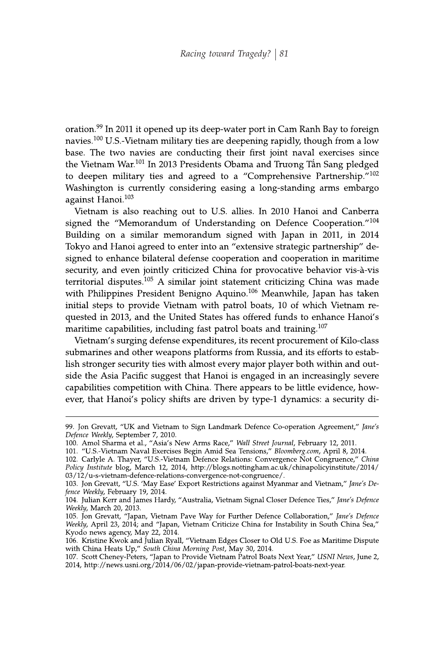oration.<sup>99</sup> In 2011 it opened up its deep-water port in Cam Ranh Bay to foreign navies.<sup>100</sup> U.S.-Vietnam military ties are deepening rapidly, though from a low base. The two navies are conducting their first joint naval exercises since the Vietnam War.<sup>101</sup> In 2013 Presidents Obama and Truong Tân Sang pledged to deepen military ties and agreed to a "Comprehensive Partnership."<sup>102</sup> Washington is currently considering easing a long-standing arms embargo against Hanoi.<sup>103</sup>

Vietnam is also reaching out to U.S. allies. In 2010 Hanoi and Canberra signed the "Memorandum of Understanding on Defence Cooperation."<sup>104</sup> Building on a similar memorandum signed with Japan in 2011, in 2014 Tokyo and Hanoi agreed to enter into an "extensive strategic partnership" designed to enhance bilateral defense cooperation and cooperation in maritime security, and even jointly criticized China for provocative behavior vis-à-vis territorial disputes.<sup>105</sup> A similar joint statement criticizing China was made with Philippines President Benigno Aquino.<sup>106</sup> Meanwhile, Japan has taken initial steps to provide Vietnam with patrol boats, 10 of which Vietnam requested in 2013, and the United States has offered funds to enhance Hanoi's maritime capabilities, including fast patrol boats and training.<sup>107</sup>

Vietnam's surging defense expenditures, its recent procurement of Kilo-class submarines and other weapons platforms from Russia, and its efforts to establish stronger security ties with almost every major player both within and outside the Asia Pacific suggest that Hanoi is engaged in an increasingly severe capabilities competition with China. There appears to be little evidence, however, that Hanoi's policy shifts are driven by type-1 dynamics: a security di-

<sup>99.</sup> Jon Grevatt, "UK and Vietnam to Sign Landmark Defence Co-operation Agreement," *Jane's Defence Weekly*, September 7, 2010.

<sup>100.</sup> Amol Sharma et al., "Asia's New Arms Race," *Wall Street Journal*, February 12, 2011.

<sup>101. &</sup>quot;U.S.-Vietnam Naval Exercises Begin Amid Sea Tensions," *Bloomberg.com*, April 8, 2014.

<sup>102.</sup> Carlyle A. Thayer, "U.S.-Vietnam Defence Relations: Convergence Not Congruence," *China Policy Institute* blog, March 12, 2014, http://blogs.nottingham.ac.uk/chinapolicyinstitute/2014/ 03/12/u-s-vietnam-defence-relations-convergence-not-congruence/.

<sup>103.</sup> Jon Grevatt, "U.S. 'May Ease' Export Restrictions against Myanmar and Vietnam," *Jane's Defence Weekly*, February 19, 2014.

<sup>104.</sup> Julian Kerr and James Hardy, "Australia, Vietnam Signal Closer Defence Ties," *Jane's Defence Weekly*, March 20, 2013.

<sup>105.</sup> Jon Grevatt, "Japan, Vietnam Pave Way for Further Defence Collaboration," *Jane's Defence Weekly*, April 23, 2014; and "Japan, Vietnam Criticize China for Instability in South China Sea," Kyodo news agency, May 22, 2014.

<sup>106.</sup> Kristine Kwok and Julian Ryall, "Vietnam Edges Closer to Old U.S. Foe as Maritime Dispute with China Heats Up," *South China Morning Post*, May 30, 2014.

<sup>107.</sup> Scott Cheney-Peters, "Japan to Provide Vietnam Patrol Boats Next Year," *USNI News*, June 2, 2014, http://news.usni.org/2014/06/02/japan-provide-vietnam-patrol-boats-next-year.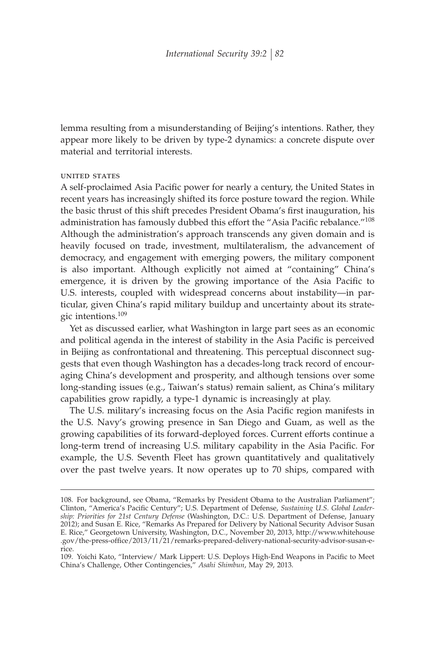lemma resulting from a misunderstanding of Beijing's intentions. Rather, they appear more likely to be driven by type-2 dynamics: a concrete dispute over material and territorial interests.

## united states

A self-proclaimed Asia Pacific power for nearly a century, the United States in recent years has increasingly shifted its force posture toward the region. While the basic thrust of this shift precedes President Obama's first inauguration, his administration has famously dubbed this effort the "Asia Pacific rebalance."<sup>108</sup> Although the administration's approach transcends any given domain and is heavily focused on trade, investment, multilateralism, the advancement of democracy, and engagement with emerging powers, the military component is also important. Although explicitly not aimed at "containing" China's emergence, it is driven by the growing importance of the Asia Pacific to U.S. interests, coupled with widespread concerns about instability—in particular, given China's rapid military buildup and uncertainty about its strategic intentions.<sup>109</sup>

Yet as discussed earlier, what Washington in large part sees as an economic and political agenda in the interest of stability in the Asia Pacific is perceived in Beijing as confrontational and threatening. This perceptual disconnect suggests that even though Washington has a decades-long track record of encouraging China's development and prosperity, and although tensions over some long-standing issues (e.g., Taiwan's status) remain salient, as China's military capabilities grow rapidly, a type-1 dynamic is increasingly at play.

The U.S. military's increasing focus on the Asia Pacific region manifests in the U.S. Navy's growing presence in San Diego and Guam, as well as the growing capabilities of its forward-deployed forces. Current efforts continue a long-term trend of increasing U.S. military capability in the Asia Pacific. For example, the U.S. Seventh Fleet has grown quantitatively and qualitatively over the past twelve years. It now operates up to 70 ships, compared with

<sup>108.</sup> For background, see Obama, "Remarks by President Obama to the Australian Parliament"; Clinton, "America's Pacific Century"; U.S. Department of Defense, *Sustaining U.S. Global Leadership: Priorities for 21st Century Defense* (Washington, D.C.: U.S. Department of Defense, January 2012); and Susan E. Rice, "Remarks As Prepared for Delivery by National Security Advisor Susan E. Rice," Georgetown University, Washington, D.C., November 20, 2013, http://www.whitehouse .gov/the-press-office/2013/11/21/remarks-prepared-delivery-national-security-advisor-susan-erice.

<sup>109.</sup> Yoichi Kato, "Interview/ Mark Lippert: U.S. Deploys High-End Weapons in Pacific to Meet China's Challenge, Other Contingencies," *Asahi Shimbun*, May 29, 2013.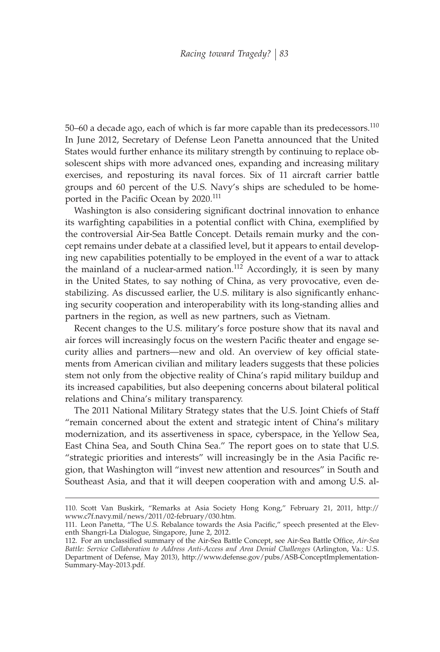50–60 a decade ago, each of which is far more capable than its predecessors.<sup>110</sup> In June 2012, Secretary of Defense Leon Panetta announced that the United States would further enhance its military strength by continuing to replace obsolescent ships with more advanced ones, expanding and increasing military exercises, and reposturing its naval forces. Six of 11 aircraft carrier battle groups and 60 percent of the U.S. Navy's ships are scheduled to be homeported in the Pacific Ocean by 2020.<sup>111</sup>

Washington is also considering significant doctrinal innovation to enhance its warfighting capabilities in a potential conflict with China, exemplified by the controversial Air-Sea Battle Concept. Details remain murky and the concept remains under debate at a classified level, but it appears to entail developing new capabilities potentially to be employed in the event of a war to attack the mainland of a nuclear-armed nation.<sup>112</sup> Accordingly, it is seen by many in the United States, to say nothing of China, as very provocative, even destabilizing. As discussed earlier, the U.S. military is also significantly enhancing security cooperation and interoperability with its long-standing allies and partners in the region, as well as new partners, such as Vietnam.

Recent changes to the U.S. military's force posture show that its naval and air forces will increasingly focus on the western Pacific theater and engage security allies and partners—new and old. An overview of key official statements from American civilian and military leaders suggests that these policies stem not only from the objective reality of China's rapid military buildup and its increased capabilities, but also deepening concerns about bilateral political relations and China's military transparency.

The 2011 National Military Strategy states that the U.S. Joint Chiefs of Staff "remain concerned about the extent and strategic intent of China's military modernization, and its assertiveness in space, cyberspace, in the Yellow Sea, East China Sea, and South China Sea." The report goes on to state that U.S. "strategic priorities and interests" will increasingly be in the Asia Pacific region, that Washington will "invest new attention and resources" in South and Southeast Asia, and that it will deepen cooperation with and among U.S. al-

<sup>110.</sup> Scott Van Buskirk, "Remarks at Asia Society Hong Kong," February 21, 2011, http:// www.c7f.navy.mil/news/2011/02-february/030.htm.

<sup>111.</sup> Leon Panetta, "The U.S. Rebalance towards the Asia Pacific," speech presented at the Eleventh Shangri-La Dialogue, Singapore, June 2, 2012.

<sup>112.</sup> For an unclassified summary of the Air-Sea Battle Concept, see Air-Sea Battle Office, Air-Sea *Battle: Service Collaboration to Address Anti-Access and Area Denial Challenges* (Arlington, Va.: U.S. Department of Defense, May 2013), http://www.defense.gov/pubs/ASB-ConceptImplementation-Summary-May-2013.pdf.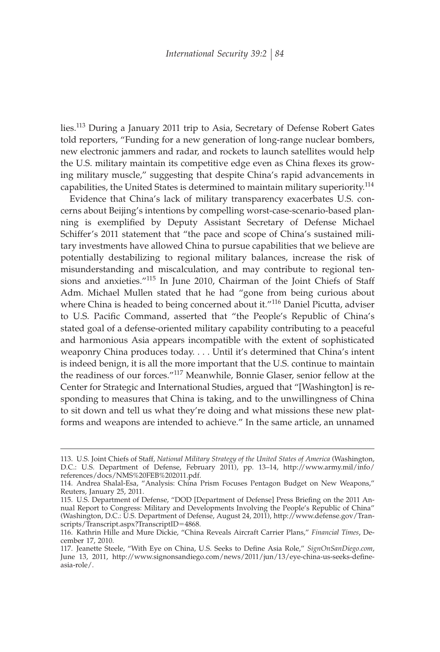lies.<sup>113</sup> During a January 2011 trip to Asia, Secretary of Defense Robert Gates told reporters, "Funding for a new generation of long-range nuclear bombers, new electronic jammers and radar, and rockets to launch satellites would help the U.S. military maintain its competitive edge even as China flexes its growing military muscle," suggesting that despite China's rapid advancements in capabilities, the United States is determined to maintain military superiority.<sup>114</sup>

Evidence that China's lack of military transparency exacerbates U.S. concerns about Beijing's intentions by compelling worst-case-scenario-based planning is exemplified by Deputy Assistant Secretary of Defense Michael Schiffer's 2011 statement that "the pace and scope of China's sustained military investments have allowed China to pursue capabilities that we believe are potentially destabilizing to regional military balances, increase the risk of misunderstanding and miscalculation, and may contribute to regional tensions and anxieties."<sup>115</sup> In June 2010, Chairman of the Joint Chiefs of Staff Adm. Michael Mullen stated that he had "gone from being curious about where China is headed to being concerned about it."<sup>116</sup> Daniel Picutta, adviser to U.S. Pacific Command, asserted that "the People's Republic of China's stated goal of a defense-oriented military capability contributing to a peaceful and harmonious Asia appears incompatible with the extent of sophisticated weaponry China produces today.... Until it's determined that China's intent is indeed benign, it is all the more important that the U.S. continue to maintain the readiness of our forces."<sup>117</sup> Meanwhile, Bonnie Glaser, senior fellow at the Center for Strategic and International Studies, argued that "[Washington] is responding to measures that China is taking, and to the unwillingness of China to sit down and tell us what they're doing and what missions these new platforms and weapons are intended to achieve." In the same article, an unnamed

<sup>113.</sup> U.S. Joint Chiefs of Staff, *National Military Strategy of the United States of America* (Washington, D.C.: U.S. Department of Defense, February 2011), pp. 13–14, http://www.army.mil/info/ references/docs/NMS%20FEB%202011.pdf.

<sup>114.</sup> Andrea Shalal-Esa, "Analysis: China Prism Focuses Pentagon Budget on New Weapons," Reuters, January 25, 2011.

<sup>115.</sup> U.S. Department of Defense, "DOD [Department of Defense] Press Briefing on the 2011 Annual Report to Congress: Military and Developments Involving the People's Republic of China" (Washington, D.C.: U.S. Department of Defense, August 24, 2011), http://www.defense.gov/Transcripts/Transcript.aspx?TranscriptID-4868.

<sup>116.</sup> Kathrin Hille and Mure Dickie, "China Reveals Aircraft Carrier Plans," *Financial Times*, December 17, 2010.

<sup>117.</sup> Jeanette Steele, "With Eye on China, U.S. Seeks to Define Asia Role," *SignOnSanDiego.com*, June 13, 2011, http://www.signonsandiego.com/news/2011/jun/13/eye-china-us-seeks-defineasia-role/.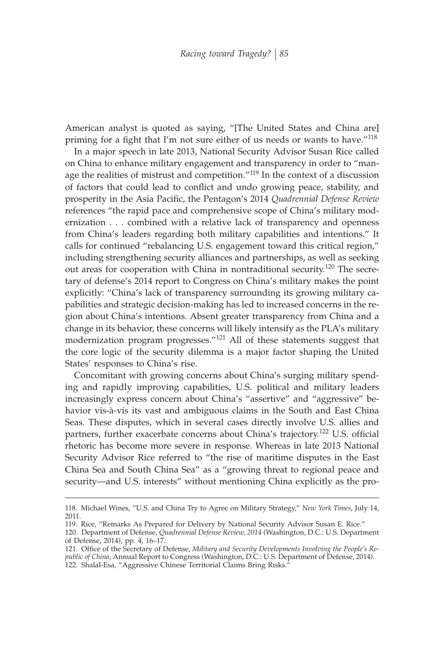American analyst is quoted as saying, "[The United States and China are] priming for a fight that I'm not sure either of us needs or wants to have."<sup>118</sup>

In a major speech in late 2013, National Security Advisor Susan Rice called on China to enhance military engagement and transparency in order to "manage the realities of mistrust and competition."<sup>119</sup> In the context of a discussion of factors that could lead to conflict and undo growing peace, stability, and prosperity in the Asia Pacific, the Pentagon's 2014 *Quadrennial Defense Review* references "the rapid pace and comprehensive scope of China's military modernization . . . combined with a relative lack of transparency and openness from China's leaders regarding both military capabilities and intentions." It calls for continued "rebalancing U.S. engagement toward this critical region," including strengthening security alliances and partnerships, as well as seeking out areas for cooperation with China in nontraditional security.<sup>120</sup> The secretary of defense's 2014 report to Congress on China's military makes the point explicitly: "China's lack of transparency surrounding its growing military capabilities and strategic decision-making has led to increased concerns in the region about China's intentions. Absent greater transparency from China and a change in its behavior, these concerns will likely intensify as the PLA's military modernization program progresses."<sup>121</sup> All of these statements suggest that the core logic of the security dilemma is a major factor shaping the United States' responses to China's rise.

Concomitant with growing concerns about China's surging military spending and rapidly improving capabilities, U.S. political and military leaders increasingly express concern about China's "assertive" and "aggressive" behavior vis-à-vis its vast and ambiguous claims in the South and East China Seas. These disputes, which in several cases directly involve U.S. allies and partners, further exacerbate concerns about China's trajectory.<sup>122</sup> U.S. official rhetoric has become more severe in response. Whereas in late 2013 National Security Advisor Rice referred to "the rise of maritime disputes in the East China Sea and South China Sea" as a "growing threat to regional peace and security—and U.S. interests" without mentioning China explicitly as the pro-

<sup>118.</sup> Michael Wines, "U.S. and China Try to Agree on Military Strategy," *New York Times*, July 14, 2011.

<sup>119.</sup> Rice, "Remarks As Prepared for Delivery by National Security Advisor Susan E. Rice."

<sup>120.</sup> Department of Defense, *Quadrennial Defense Review, 2014* (Washington, D.C.: U.S. Department of Defense, 2014), pp. 4, 16–17.

<sup>121.</sup> Office of the Secretary of Defense, Military and Security Developments Involving the People's Re*public of China*, Annual Report to Congress (Washington, D.C.: U.S. Department of Defense, 2014). 122. Shalal-Esa, "Aggressive Chinese Territorial Claims Bring Risks."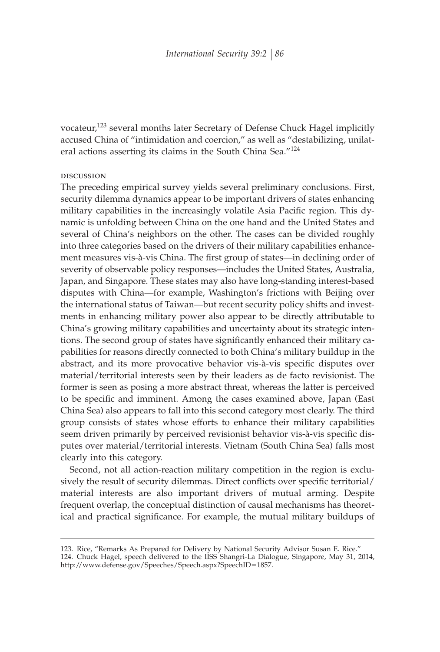vocateur,<sup>123</sup> several months later Secretary of Defense Chuck Hagel implicitly accused China of "intimidation and coercion," as well as "destabilizing, unilateral actions asserting its claims in the South China Sea."<sup>124</sup>

### discussion

The preceding empirical survey yields several preliminary conclusions. First, security dilemma dynamics appear to be important drivers of states enhancing military capabilities in the increasingly volatile Asia Pacific region. This dynamic is unfolding between China on the one hand and the United States and several of China's neighbors on the other. The cases can be divided roughly into three categories based on the drivers of their military capabilities enhancement measures vis-à-vis China. The first group of states—in declining order of severity of observable policy responses—includes the United States, Australia, Japan, and Singapore. These states may also have long-standing interest-based disputes with China—for example, Washington's frictions with Beijing over the international status of Taiwan—but recent security policy shifts and investments in enhancing military power also appear to be directly attributable to China's growing military capabilities and uncertainty about its strategic intentions. The second group of states have significantly enhanced their military capabilities for reasons directly connected to both China's military buildup in the abstract, and its more provocative behavior vis-à-vis specific disputes over material/territorial interests seen by their leaders as de facto revisionist. The former is seen as posing a more abstract threat, whereas the latter is perceived to be specific and imminent. Among the cases examined above, Japan (East China Sea) also appears to fall into this second category most clearly. The third group consists of states whose efforts to enhance their military capabilities seem driven primarily by perceived revisionist behavior vis-à-vis specific disputes over material/territorial interests. Vietnam (South China Sea) falls most clearly into this category.

Second, not all action-reaction military competition in the region is exclusively the result of security dilemmas. Direct conflicts over specific territorial/ material interests are also important drivers of mutual arming. Despite frequent overlap, the conceptual distinction of causal mechanisms has theoretical and practical significance. For example, the mutual military buildups of

<sup>123.</sup> Rice, "Remarks As Prepared for Delivery by National Security Advisor Susan E. Rice."

<sup>124.</sup> Chuck Hagel, speech delivered to the IISS Shangri-La Dialogue, Singapore, May 31, 2014, http://www.defense.gov/Speeches/Speech.aspx?SpeechID-1857.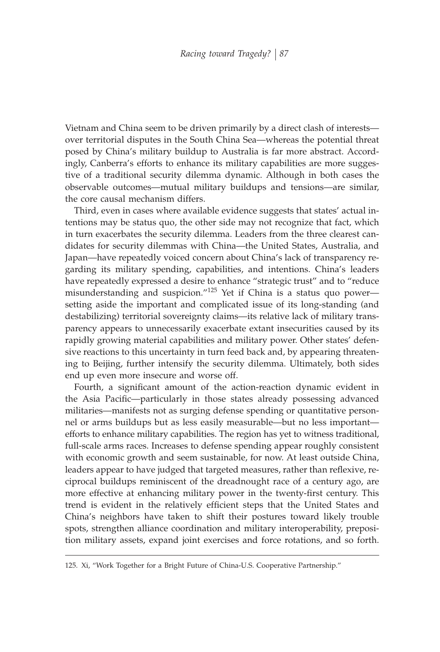Vietnam and China seem to be driven primarily by a direct clash of interests over territorial disputes in the South China Sea—whereas the potential threat posed by China's military buildup to Australia is far more abstract. Accordingly, Canberra's efforts to enhance its military capabilities are more suggestive of a traditional security dilemma dynamic. Although in both cases the observable outcomes—mutual military buildups and tensions—are similar, the core causal mechanism differs.

Third, even in cases where available evidence suggests that states' actual intentions may be status quo, the other side may not recognize that fact, which in turn exacerbates the security dilemma. Leaders from the three clearest candidates for security dilemmas with China—the United States, Australia, and Japan—have repeatedly voiced concern about China's lack of transparency regarding its military spending, capabilities, and intentions. China's leaders have repeatedly expressed a desire to enhance "strategic trust" and to "reduce misunderstanding and suspicion."<sup>125</sup> Yet if China is a status quo power setting aside the important and complicated issue of its long-standing (and destabilizing) territorial sovereignty claims—its relative lack of military transparency appears to unnecessarily exacerbate extant insecurities caused by its rapidly growing material capabilities and military power. Other states' defensive reactions to this uncertainty in turn feed back and, by appearing threatening to Beijing, further intensify the security dilemma. Ultimately, both sides end up even more insecure and worse off.

Fourth, a significant amount of the action-reaction dynamic evident in the Asia Pacific—particularly in those states already possessing advanced militaries—manifests not as surging defense spending or quantitative personnel or arms buildups but as less easily measurable—but no less important efforts to enhance military capabilities. The region has yet to witness traditional, full-scale arms races. Increases to defense spending appear roughly consistent with economic growth and seem sustainable, for now. At least outside China, leaders appear to have judged that targeted measures, rather than reflexive, reciprocal buildups reminiscent of the dreadnought race of a century ago, are more effective at enhancing military power in the twenty-first century. This trend is evident in the relatively efficient steps that the United States and China's neighbors have taken to shift their postures toward likely trouble spots, strengthen alliance coordination and military interoperability, preposition military assets, expand joint exercises and force rotations, and so forth.

<sup>125.</sup> Xi, "Work Together for a Bright Future of China-U.S. Cooperative Partnership."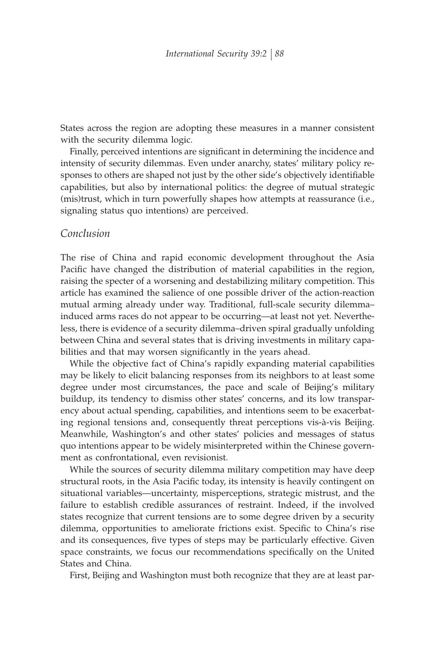States across the region are adopting these measures in a manner consistent with the security dilemma logic.

Finally, perceived intentions are significant in determining the incidence and intensity of security dilemmas. Even under anarchy, states' military policy responses to others are shaped not just by the other side's objectively identifiable capabilities, but also by international politics: the degree of mutual strategic (mis)trust, which in turn powerfully shapes how attempts at reassurance (i.e., signaling status quo intentions) are perceived.

## *Conclusion*

The rise of China and rapid economic development throughout the Asia Pacific have changed the distribution of material capabilities in the region, raising the specter of a worsening and destabilizing military competition. This article has examined the salience of one possible driver of the action-reaction mutual arming already under way. Traditional, full-scale security dilemma– induced arms races do not appear to be occurring—at least not yet. Nevertheless, there is evidence of a security dilemma–driven spiral gradually unfolding between China and several states that is driving investments in military capabilities and that may worsen significantly in the years ahead.

While the objective fact of China's rapidly expanding material capabilities may be likely to elicit balancing responses from its neighbors to at least some degree under most circumstances, the pace and scale of Beijing's military buildup, its tendency to dismiss other states' concerns, and its low transparency about actual spending, capabilities, and intentions seem to be exacerbating regional tensions and, consequently threat perceptions vis-à-vis Beijing. Meanwhile, Washington's and other states' policies and messages of status quo intentions appear to be widely misinterpreted within the Chinese government as confrontational, even revisionist.

While the sources of security dilemma military competition may have deep structural roots, in the Asia Pacific today, its intensity is heavily contingent on situational variables—uncertainty, misperceptions, strategic mistrust, and the failure to establish credible assurances of restraint. Indeed, if the involved states recognize that current tensions are to some degree driven by a security dilemma, opportunities to ameliorate frictions exist. Specific to China's rise and its consequences, five types of steps may be particularly effective. Given space constraints, we focus our recommendations specifically on the United States and China.

First, Beijing and Washington must both recognize that they are at least par-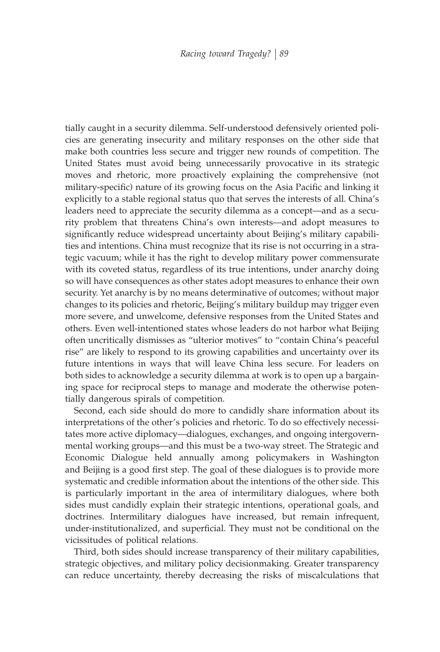tially caught in a security dilemma. Self-understood defensively oriented policies are generating insecurity and military responses on the other side that make both countries less secure and trigger new rounds of competition. The United States must avoid being unnecessarily provocative in its strategic moves and rhetoric, more proactively explaining the comprehensive (not military-specific) nature of its growing focus on the Asia Pacific and linking it explicitly to a stable regional status quo that serves the interests of all. China's leaders need to appreciate the security dilemma as a concept—and as a security problem that threatens China's own interests—and adopt measures to significantly reduce widespread uncertainty about Beijing's military capabilities and intentions. China must recognize that its rise is not occurring in a strategic vacuum; while it has the right to develop military power commensurate with its coveted status, regardless of its true intentions, under anarchy doing so will have consequences as other states adopt measures to enhance their own security. Yet anarchy is by no means determinative of outcomes; without major changes to its policies and rhetoric, Beijing's military buildup may trigger even more severe, and unwelcome, defensive responses from the United States and others. Even well-intentioned states whose leaders do not harbor what Beijing often uncritically dismisses as "ulterior motives" to "contain China's peaceful rise" are likely to respond to its growing capabilities and uncertainty over its future intentions in ways that will leave China less secure. For leaders on both sides to acknowledge a security dilemma at work is to open up a bargaining space for reciprocal steps to manage and moderate the otherwise potentially dangerous spirals of competition.

Second, each side should do more to candidly share information about its interpretations of the other's policies and rhetoric. To do so effectively necessitates more active diplomacy—dialogues, exchanges, and ongoing intergovernmental working groups—and this must be a two-way street. The Strategic and Economic Dialogue held annually among policymakers in Washington and Beijing is a good first step. The goal of these dialogues is to provide more systematic and credible information about the intentions of the other side. This is particularly important in the area of intermilitary dialogues, where both sides must candidly explain their strategic intentions, operational goals, and doctrines. Intermilitary dialogues have increased, but remain infrequent, under-institutionalized, and superficial. They must not be conditional on the vicissitudes of political relations.

Third, both sides should increase transparency of their military capabilities, strategic objectives, and military policy decisionmaking. Greater transparency can reduce uncertainty, thereby decreasing the risks of miscalculations that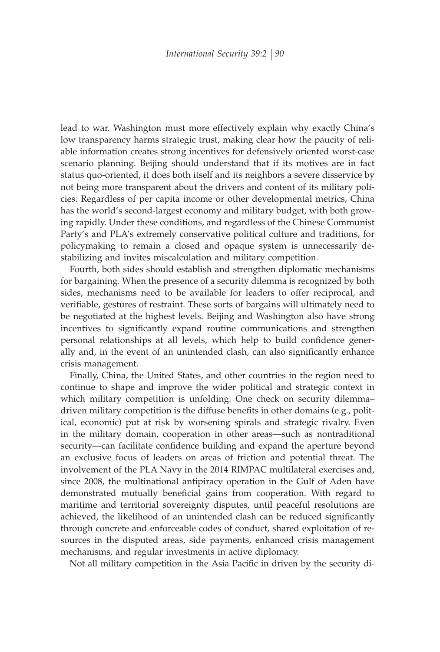lead to war. Washington must more effectively explain why exactly China's low transparency harms strategic trust, making clear how the paucity of reliable information creates strong incentives for defensively oriented worst-case scenario planning. Beijing should understand that if its motives are in fact status quo-oriented, it does both itself and its neighbors a severe disservice by not being more transparent about the drivers and content of its military policies. Regardless of per capita income or other developmental metrics, China has the world's second-largest economy and military budget, with both growing rapidly. Under these conditions, and regardless of the Chinese Communist Party's and PLA's extremely conservative political culture and traditions, for policymaking to remain a closed and opaque system is unnecessarily destabilizing and invites miscalculation and military competition.

Fourth, both sides should establish and strengthen diplomatic mechanisms for bargaining. When the presence of a security dilemma is recognized by both sides, mechanisms need to be available for leaders to offer reciprocal, and verifiable, gestures of restraint. These sorts of bargains will ultimately need to be negotiated at the highest levels. Beijing and Washington also have strong incentives to significantly expand routine communications and strengthen personal relationships at all levels, which help to build confidence generally and, in the event of an unintended clash, can also significantly enhance crisis management.

Finally, China, the United States, and other countries in the region need to continue to shape and improve the wider political and strategic context in which military competition is unfolding. One check on security dilemma– driven military competition is the diffuse benefits in other domains (e.g., political, economic) put at risk by worsening spirals and strategic rivalry. Even in the military domain, cooperation in other areas—such as nontraditional security—can facilitate confidence building and expand the aperture beyond an exclusive focus of leaders on areas of friction and potential threat. The involvement of the PLA Navy in the 2014 RIMPAC multilateral exercises and, since 2008, the multinational antipiracy operation in the Gulf of Aden have demonstrated mutually beneficial gains from cooperation. With regard to maritime and territorial sovereignty disputes, until peaceful resolutions are achieved, the likelihood of an unintended clash can be reduced significantly through concrete and enforceable codes of conduct, shared exploitation of resources in the disputed areas, side payments, enhanced crisis management mechanisms, and regular investments in active diplomacy.

Not all military competition in the Asia Pacific in driven by the security di-